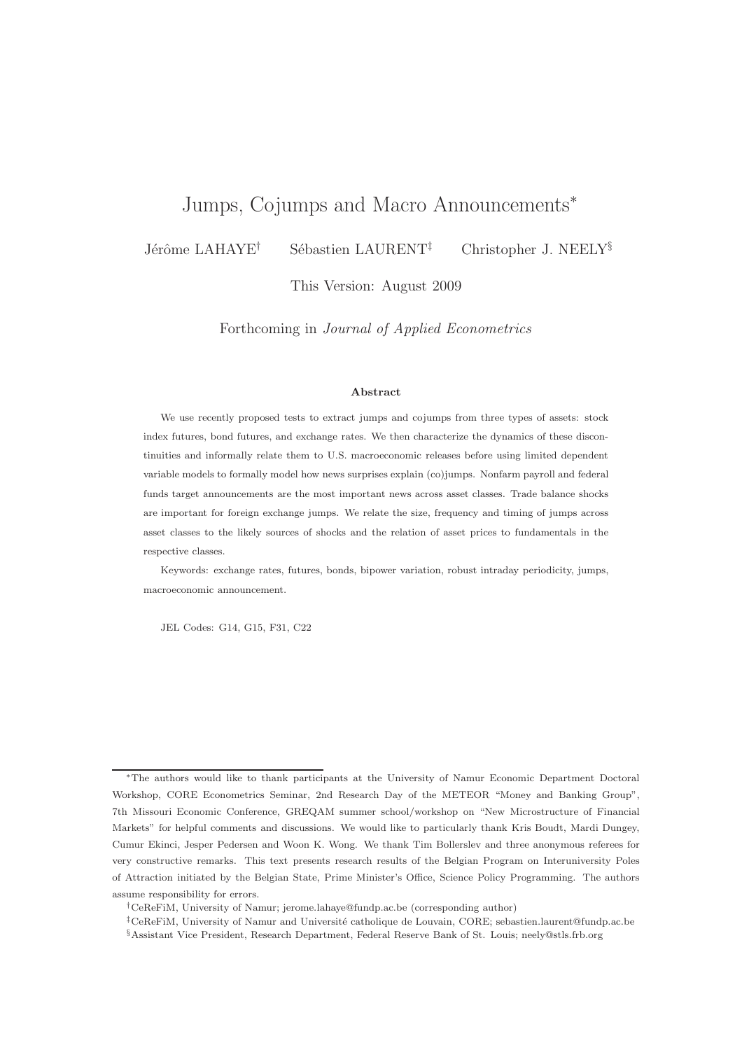## Jumps, Cojumps and Macro Announcements<sup>∗</sup>

Jérôme LAHAYE<sup>†</sup> Sébastien LAURENT<sup>‡</sup> Christopher J. NEELY<sup>§</sup>

This Version: August 2009

Forthcoming in Journal of Applied Econometrics

### Abstract

We use recently proposed tests to extract jumps and cojumps from three types of assets: stock index futures, bond futures, and exchange rates. We then characterize the dynamics of these discontinuities and informally relate them to U.S. macroeconomic releases before using limited dependent variable models to formally model how news surprises explain (co)jumps. Nonfarm payroll and federal funds target announcements are the most important news across asset classes. Trade balance shocks are important for foreign exchange jumps. We relate the size, frequency and timing of jumps across asset classes to the likely sources of shocks and the relation of asset prices to fundamentals in the respective classes.

Keywords: exchange rates, futures, bonds, bipower variation, robust intraday periodicity, jumps, macroeconomic announcement.

JEL Codes: G14, G15, F31, C22

<sup>∗</sup>The authors would like to thank participants at the University of Namur Economic Department Doctoral Workshop, CORE Econometrics Seminar, 2nd Research Day of the METEOR "Money and Banking Group", 7th Missouri Economic Conference, GREQAM summer school/workshop on "New Microstructure of Financial Markets" for helpful comments and discussions. We would like to particularly thank Kris Boudt, Mardi Dungey, Cumur Ekinci, Jesper Pedersen and Woon K. Wong. We thank Tim Bollerslev and three anonymous referees for very constructive remarks. This text presents research results of the Belgian Program on Interuniversity Poles of Attraction initiated by the Belgian State, Prime Minister's Office, Science Policy Programming. The authors assume responsibility for errors.

<sup>†</sup>CeReFiM, University of Namur; jerome.lahaye@fundp.ac.be (corresponding author)

<sup>&</sup>lt;sup>‡</sup>CeReFiM, University of Namur and Université catholique de Louvain, CORE; sebastien.laurent@fundp.ac.be

<sup>§</sup>Assistant Vice President, Research Department, Federal Reserve Bank of St. Louis; neely@stls.frb.org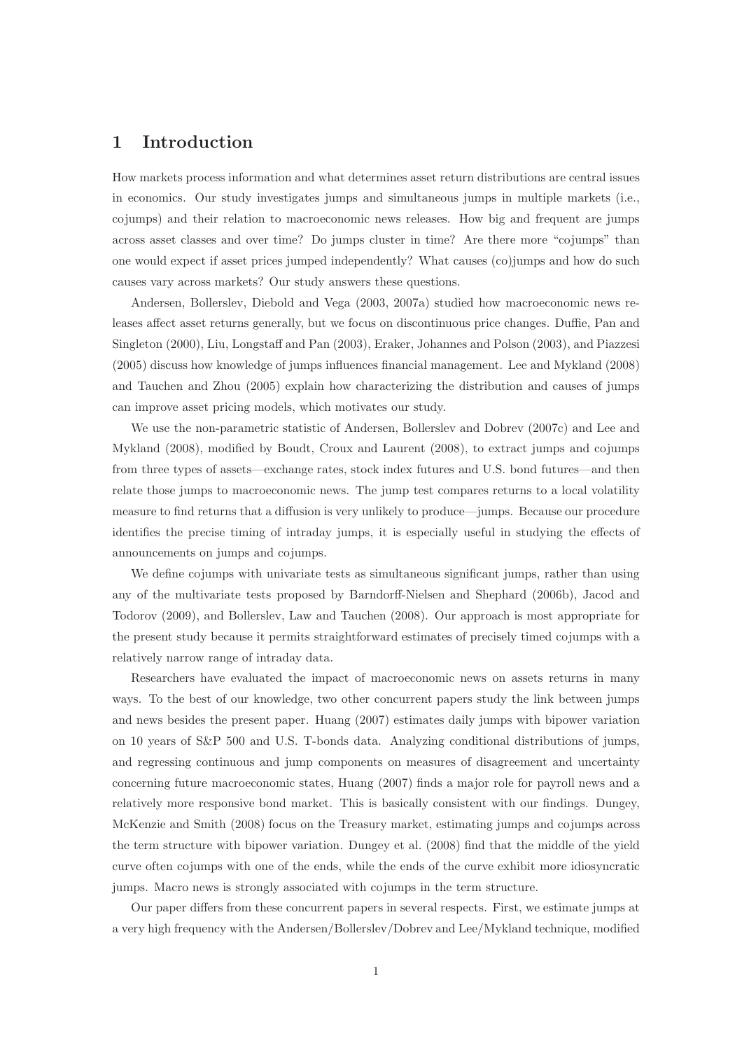## 1 Introduction

How markets process information and what determines asset return distributions are central issues in economics. Our study investigates jumps and simultaneous jumps in multiple markets (i.e., cojumps) and their relation to macroeconomic news releases. How big and frequent are jumps across asset classes and over time? Do jumps cluster in time? Are there more "cojumps" than one would expect if asset prices jumped independently? What causes (co)jumps and how do such causes vary across markets? Our study answers these questions.

Andersen, Bollerslev, Diebold and Vega (2003, 2007a) studied how macroeconomic news releases affect asset returns generally, but we focus on discontinuous price changes. Duffie, Pan and Singleton (2000), Liu, Longstaff and Pan (2003), Eraker, Johannes and Polson (2003), and Piazzesi (2005) discuss how knowledge of jumps influences financial management. Lee and Mykland (2008) and Tauchen and Zhou (2005) explain how characterizing the distribution and causes of jumps can improve asset pricing models, which motivates our study.

We use the non-parametric statistic of Andersen, Bollerslev and Dobrev (2007c) and Lee and Mykland (2008), modified by Boudt, Croux and Laurent (2008), to extract jumps and cojumps from three types of assets—exchange rates, stock index futures and U.S. bond futures—and then relate those jumps to macroeconomic news. The jump test compares returns to a local volatility measure to find returns that a diffusion is very unlikely to produce—jumps. Because our procedure identifies the precise timing of intraday jumps, it is especially useful in studying the effects of announcements on jumps and cojumps.

We define cojumps with univariate tests as simultaneous significant jumps, rather than using any of the multivariate tests proposed by Barndorff-Nielsen and Shephard (2006b), Jacod and Todorov (2009), and Bollerslev, Law and Tauchen (2008). Our approach is most appropriate for the present study because it permits straightforward estimates of precisely timed cojumps with a relatively narrow range of intraday data.

Researchers have evaluated the impact of macroeconomic news on assets returns in many ways. To the best of our knowledge, two other concurrent papers study the link between jumps and news besides the present paper. Huang (2007) estimates daily jumps with bipower variation on 10 years of S&P 500 and U.S. T-bonds data. Analyzing conditional distributions of jumps, and regressing continuous and jump components on measures of disagreement and uncertainty concerning future macroeconomic states, Huang (2007) finds a major role for payroll news and a relatively more responsive bond market. This is basically consistent with our findings. Dungey, McKenzie and Smith (2008) focus on the Treasury market, estimating jumps and cojumps across the term structure with bipower variation. Dungey et al. (2008) find that the middle of the yield curve often cojumps with one of the ends, while the ends of the curve exhibit more idiosyncratic jumps. Macro news is strongly associated with cojumps in the term structure.

Our paper differs from these concurrent papers in several respects. First, we estimate jumps at a very high frequency with the Andersen/Bollerslev/Dobrev and Lee/Mykland technique, modified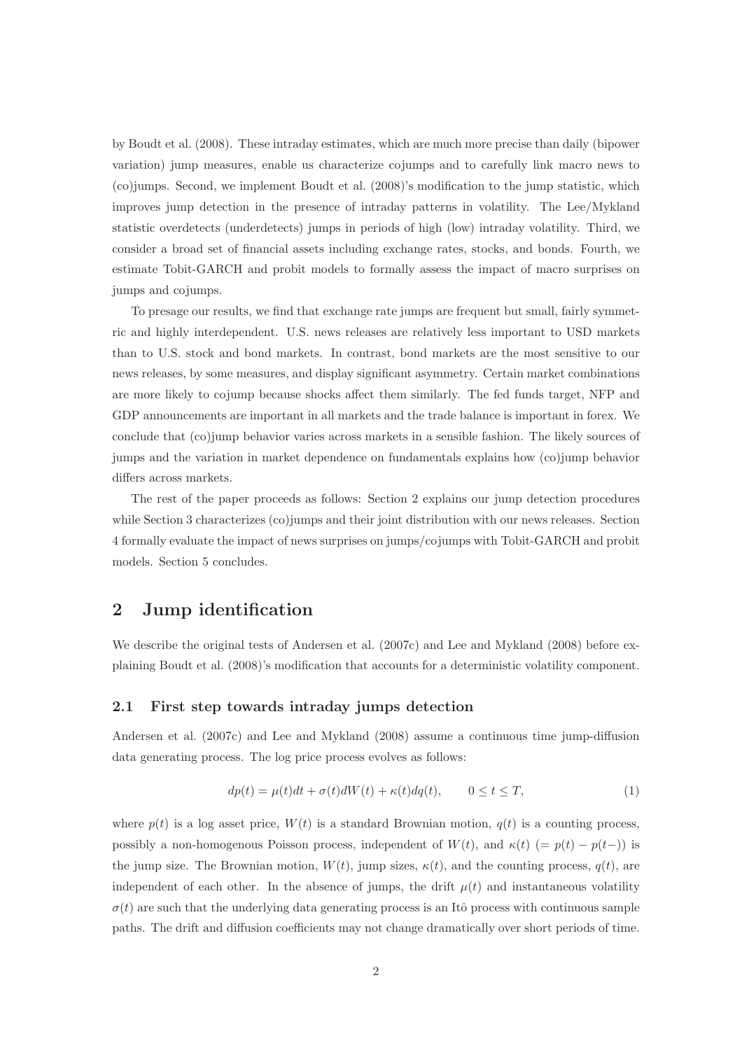by Boudt et al. (2008). These intraday estimates, which are much more precise than daily (bipower variation) jump measures, enable us characterize cojumps and to carefully link macro news to (co)jumps. Second, we implement Boudt et al. (2008)'s modification to the jump statistic, which improves jump detection in the presence of intraday patterns in volatility. The Lee/Mykland statistic overdetects (underdetects) jumps in periods of high (low) intraday volatility. Third, we consider a broad set of financial assets including exchange rates, stocks, and bonds. Fourth, we estimate Tobit-GARCH and probit models to formally assess the impact of macro surprises on jumps and cojumps.

To presage our results, we find that exchange rate jumps are frequent but small, fairly symmetric and highly interdependent. U.S. news releases are relatively less important to USD markets than to U.S. stock and bond markets. In contrast, bond markets are the most sensitive to our news releases, by some measures, and display significant asymmetry. Certain market combinations are more likely to cojump because shocks affect them similarly. The fed funds target, NFP and GDP announcements are important in all markets and the trade balance is important in forex. We conclude that (co)jump behavior varies across markets in a sensible fashion. The likely sources of jumps and the variation in market dependence on fundamentals explains how (co)jump behavior differs across markets.

The rest of the paper proceeds as follows: Section 2 explains our jump detection procedures while Section 3 characterizes (co)jumps and their joint distribution with our news releases. Section 4 formally evaluate the impact of news surprises on jumps/cojumps with Tobit-GARCH and probit models. Section 5 concludes.

## 2 Jump identification

We describe the original tests of Andersen et al. (2007c) and Lee and Mykland (2008) before explaining Boudt et al. (2008)'s modification that accounts for a deterministic volatility component.

### 2.1 First step towards intraday jumps detection

Andersen et al. (2007c) and Lee and Mykland (2008) assume a continuous time jump-diffusion data generating process. The log price process evolves as follows:

$$
dp(t) = \mu(t)dt + \sigma(t)dW(t) + \kappa(t)dq(t), \qquad 0 \le t \le T,
$$
\n(1)

where  $p(t)$  is a log asset price,  $W(t)$  is a standard Brownian motion,  $q(t)$  is a counting process, possibly a non-homogenous Poisson process, independent of  $W(t)$ , and  $\kappa(t)$  (=  $p(t) - p(t-)$ ) is the jump size. The Brownian motion,  $W(t)$ , jump sizes,  $\kappa(t)$ , and the counting process,  $q(t)$ , are independent of each other. In the absence of jumps, the drift  $\mu(t)$  and instantaneous volatility  $\sigma(t)$  are such that the underlying data generating process is an Itô process with continuous sample paths. The drift and diffusion coefficients may not change dramatically over short periods of time.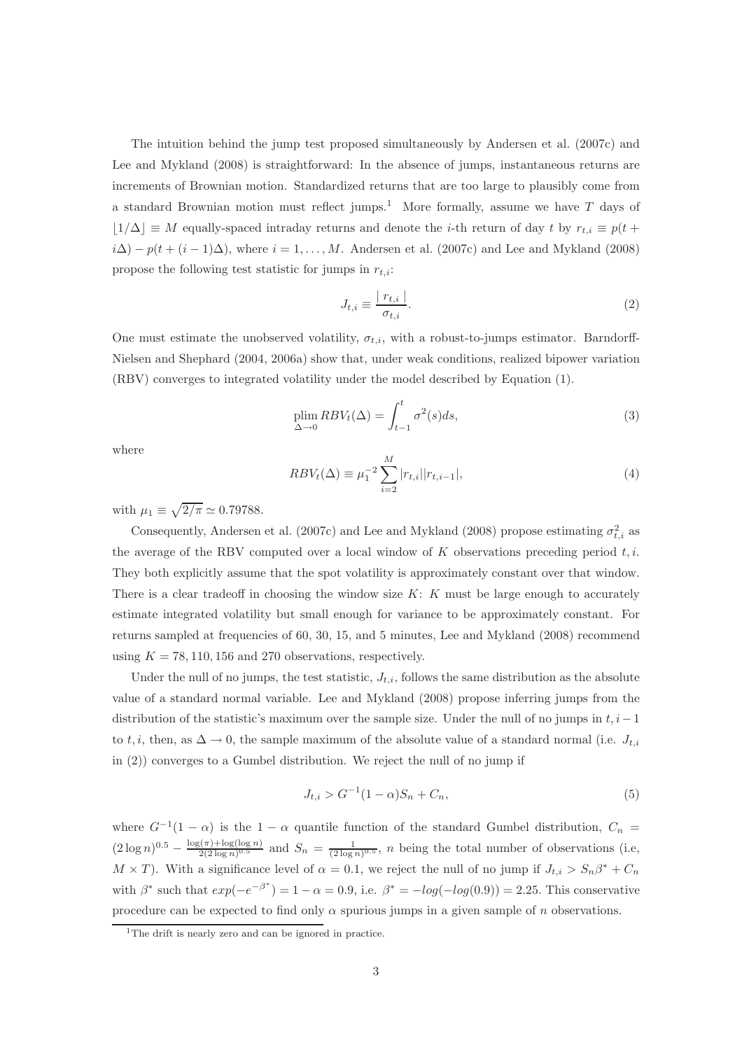The intuition behind the jump test proposed simultaneously by Andersen et al. (2007c) and Lee and Mykland (2008) is straightforward: In the absence of jumps, instantaneous returns are increments of Brownian motion. Standardized returns that are too large to plausibly come from a standard Brownian motion must reflect jumps.<sup>1</sup> More formally, assume we have  $T$  days of  $\lfloor 1/\Delta \rfloor \equiv M$  equally-spaced intraday returns and denote the *i*-th return of day t by  $r_{t,i} \equiv p(t +$  $i\Delta$ ) –  $p(t+(i-1)\Delta)$ , where  $i=1,\ldots,M$ . Andersen et al. (2007c) and Lee and Mykland (2008) propose the following test statistic for jumps in  $r_{t,i}$ :

$$
J_{t,i} \equiv \frac{|r_{t,i}|}{\sigma_{t,i}}.\tag{2}
$$

One must estimate the unobserved volatility,  $\sigma_{t,i}$ , with a robust-to-jumps estimator. Barndorff-Nielsen and Shephard (2004, 2006a) show that, under weak conditions, realized bipower variation (RBV) converges to integrated volatility under the model described by Equation (1).

$$
\plim_{\Delta \to 0} RBV_t(\Delta) = \int_{t-1}^t \sigma^2(s)ds,\tag{3}
$$

where

$$
RBV_t(\Delta) \equiv \mu_1^{-2} \sum_{i=2}^{M} |r_{t,i}| |r_{t,i-1}|,
$$
\n(4)

with  $\mu_1 \equiv \sqrt{2/\pi} \simeq 0.79788$ .

Consequently, Andersen et al. (2007c) and Lee and Mykland (2008) propose estimating  $\sigma_{t,i}^2$  as the average of the RBV computed over a local window of  $K$  observations preceding period  $t, i$ . They both explicitly assume that the spot volatility is approximately constant over that window. There is a clear tradeoff in choosing the window size  $K: K$  must be large enough to accurately estimate integrated volatility but small enough for variance to be approximately constant. For returns sampled at frequencies of 60, 30, 15, and 5 minutes, Lee and Mykland (2008) recommend using  $K = 78, 110, 156$  and 270 observations, respectively.

Under the null of no jumps, the test statistic,  $J_{t,i}$ , follows the same distribution as the absolute value of a standard normal variable. Lee and Mykland (2008) propose inferring jumps from the distribution of the statistic's maximum over the sample size. Under the null of no jumps in  $t, i-1$ to t, i, then, as  $\Delta \to 0$ , the sample maximum of the absolute value of a standard normal (i.e.  $J_{t,i}$ in (2)) converges to a Gumbel distribution. We reject the null of no jump if

$$
J_{t,i} > G^{-1}(1-\alpha)S_n + C_n,\tag{5}
$$

where  $G^{-1}(1-\alpha)$  is the  $1-\alpha$  quantile function of the standard Gumbel distribution,  $C_n =$  $(2 \log n)^{0.5} - \frac{\log(\pi) + \log(\log n)}{2(2 \log n)^{0.5}}$  $\frac{2(2\log n)^{0.5}}{2(2\log n)^{0.5}}$  and  $S_n = \frac{1}{(2\log n)^{0.5}}$ , *n* being the total number of observations (i.e,  $M \times T$ ). With a significance level of  $\alpha = 0.1$ , we reject the null of no jump if  $J_{t,i} > S_n \beta^* + C_n$ with  $\beta^*$  such that  $exp(-e^{-\beta^*}) = 1 - \alpha = 0.9$ , i.e.  $\beta^* = -log(-log(0.9)) = 2.25$ . This conservative procedure can be expected to find only  $\alpha$  spurious jumps in a given sample of n observations.

<sup>&</sup>lt;sup>1</sup>The drift is nearly zero and can be ignored in practice.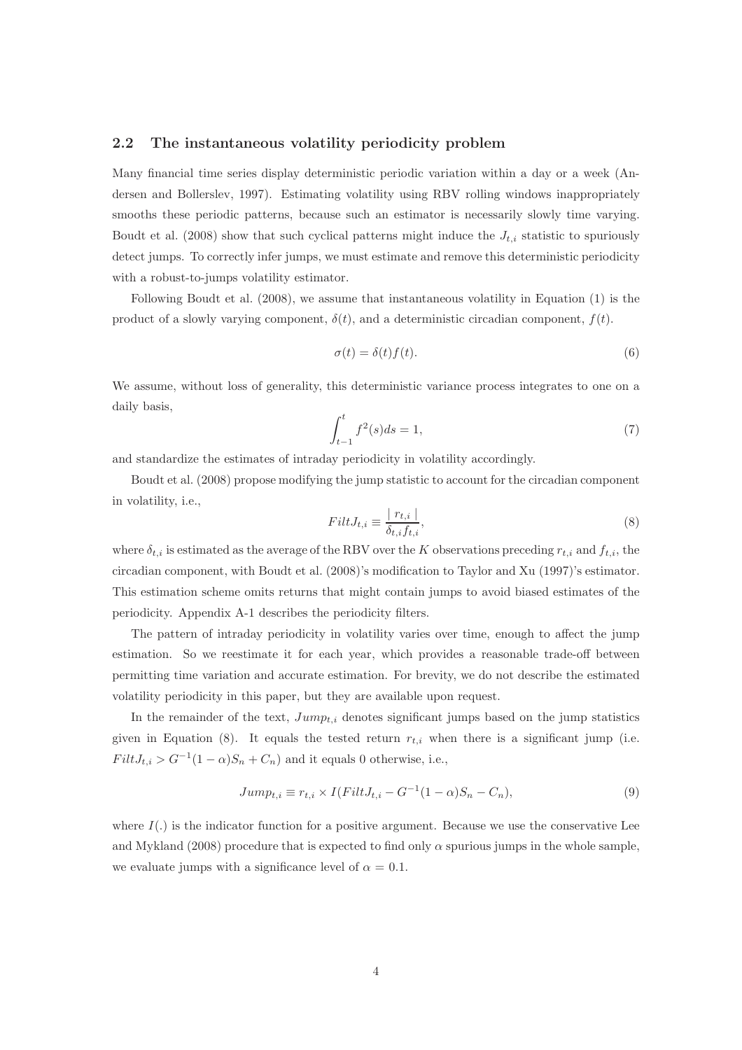### 2.2 The instantaneous volatility periodicity problem

Many financial time series display deterministic periodic variation within a day or a week (Andersen and Bollerslev, 1997). Estimating volatility using RBV rolling windows inappropriately smooths these periodic patterns, because such an estimator is necessarily slowly time varying. Boudt et al. (2008) show that such cyclical patterns might induce the  $J_{t,i}$  statistic to spuriously detect jumps. To correctly infer jumps, we must estimate and remove this deterministic periodicity with a robust-to-jumps volatility estimator.

Following Boudt et al. (2008), we assume that instantaneous volatility in Equation (1) is the product of a slowly varying component,  $\delta(t)$ , and a deterministic circadian component,  $f(t)$ .

$$
\sigma(t) = \delta(t)f(t). \tag{6}
$$

We assume, without loss of generality, this deterministic variance process integrates to one on a daily basis,

$$
\int_{t-1}^{t} f^2(s)ds = 1,
$$
\n(7)

and standardize the estimates of intraday periodicity in volatility accordingly.

Boudt et al. (2008) propose modifying the jump statistic to account for the circadian component in volatility, i.e.,

$$
FiltJ_{t,i} \equiv \frac{|r_{t,i}|}{\delta_{t,i}f_{t,i}},\tag{8}
$$

where  $\delta_{t,i}$  is estimated as the average of the RBV over the K observations preceding  $r_{t,i}$  and  $f_{t,i}$ , the circadian component, with Boudt et al. (2008)'s modification to Taylor and Xu (1997)'s estimator. This estimation scheme omits returns that might contain jumps to avoid biased estimates of the periodicity. Appendix A-1 describes the periodicity filters.

The pattern of intraday periodicity in volatility varies over time, enough to affect the jump estimation. So we reestimate it for each year, which provides a reasonable trade-off between permitting time variation and accurate estimation. For brevity, we do not describe the estimated volatility periodicity in this paper, but they are available upon request.

In the remainder of the text,  $Jump_{t,i}$  denotes significant jumps based on the jump statistics given in Equation (8). It equals the tested return  $r_{t,i}$  when there is a significant jump (i.e.  $FiltJ_{t,i} > G^{-1}(1-\alpha)S_n + C_n$  and it equals 0 otherwise, i.e.,

$$
Jump_{t,i} \equiv r_{t,i} \times I(FiltJ_{t,i} - G^{-1}(1-\alpha)S_n - C_n), \tag{9}
$$

where  $I(.)$  is the indicator function for a positive argument. Because we use the conservative Lee and Mykland (2008) procedure that is expected to find only  $\alpha$  spurious jumps in the whole sample, we evaluate jumps with a significance level of  $\alpha = 0.1$ .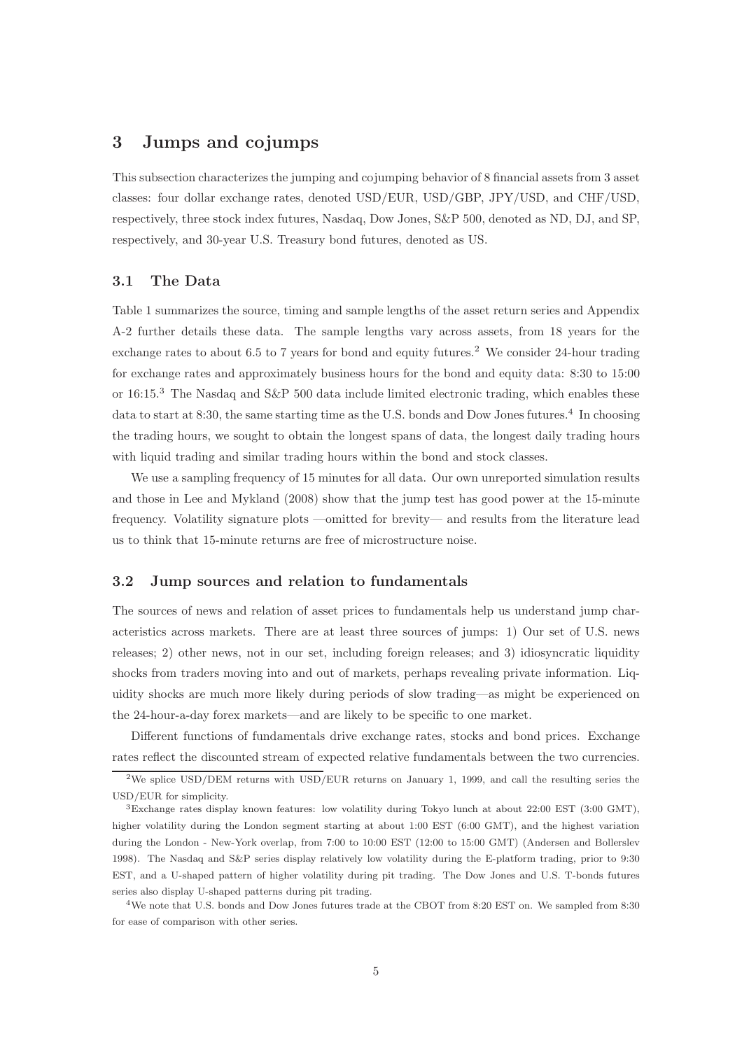## 3 Jumps and cojumps

This subsection characterizes the jumping and cojumping behavior of 8 financial assets from 3 asset classes: four dollar exchange rates, denoted USD/EUR, USD/GBP, JPY/USD, and CHF/USD, respectively, three stock index futures, Nasdaq, Dow Jones, S&P 500, denoted as ND, DJ, and SP, respectively, and 30-year U.S. Treasury bond futures, denoted as US.

### 3.1 The Data

Table 1 summarizes the source, timing and sample lengths of the asset return series and Appendix A-2 further details these data. The sample lengths vary across assets, from 18 years for the exchange rates to about 6.5 to 7 years for bond and equity futures.<sup>2</sup> We consider 24-hour trading for exchange rates and approximately business hours for the bond and equity data: 8:30 to 15:00 or 16:15.<sup>3</sup> The Nasdaq and S&P 500 data include limited electronic trading, which enables these data to start at 8:30, the same starting time as the U.S. bonds and Dow Jones futures.<sup>4</sup> In choosing the trading hours, we sought to obtain the longest spans of data, the longest daily trading hours with liquid trading and similar trading hours within the bond and stock classes.

We use a sampling frequency of 15 minutes for all data. Our own unreported simulation results and those in Lee and Mykland (2008) show that the jump test has good power at the 15-minute frequency. Volatility signature plots —omitted for brevity— and results from the literature lead us to think that 15-minute returns are free of microstructure noise.

## 3.2 Jump sources and relation to fundamentals

The sources of news and relation of asset prices to fundamentals help us understand jump characteristics across markets. There are at least three sources of jumps: 1) Our set of U.S. news releases; 2) other news, not in our set, including foreign releases; and 3) idiosyncratic liquidity shocks from traders moving into and out of markets, perhaps revealing private information. Liquidity shocks are much more likely during periods of slow trading—as might be experienced on the 24-hour-a-day forex markets—and are likely to be specific to one market.

Different functions of fundamentals drive exchange rates, stocks and bond prices. Exchange rates reflect the discounted stream of expected relative fundamentals between the two currencies.

<sup>2</sup>We splice USD/DEM returns with USD/EUR returns on January 1, 1999, and call the resulting series the USD/EUR for simplicity.

<sup>3</sup>Exchange rates display known features: low volatility during Tokyo lunch at about 22:00 EST (3:00 GMT), higher volatility during the London segment starting at about 1:00 EST (6:00 GMT), and the highest variation during the London - New-York overlap, from 7:00 to 10:00 EST (12:00 to 15:00 GMT) (Andersen and Bollerslev 1998). The Nasdaq and S&P series display relatively low volatility during the E-platform trading, prior to 9:30 EST, and a U-shaped pattern of higher volatility during pit trading. The Dow Jones and U.S. T-bonds futures series also display U-shaped patterns during pit trading.

<sup>4</sup>We note that U.S. bonds and Dow Jones futures trade at the CBOT from 8:20 EST on. We sampled from 8:30 for ease of comparison with other series.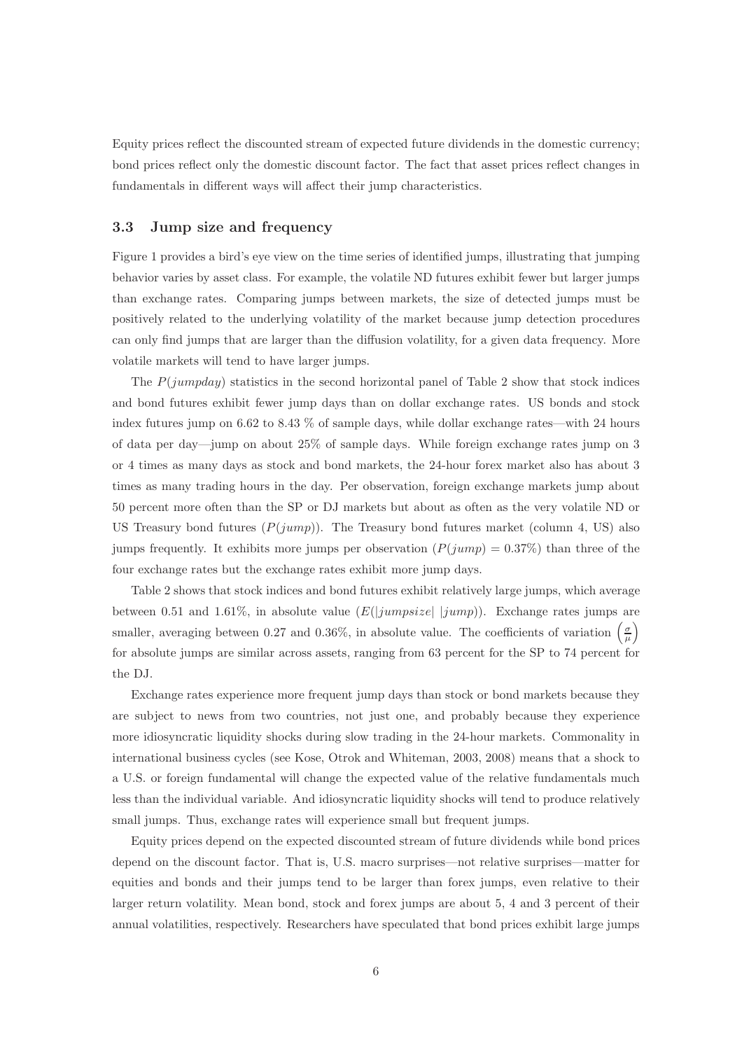Equity prices reflect the discounted stream of expected future dividends in the domestic currency; bond prices reflect only the domestic discount factor. The fact that asset prices reflect changes in fundamentals in different ways will affect their jump characteristics.

### 3.3 Jump size and frequency

Figure 1 provides a bird's eye view on the time series of identified jumps, illustrating that jumping behavior varies by asset class. For example, the volatile ND futures exhibit fewer but larger jumps than exchange rates. Comparing jumps between markets, the size of detected jumps must be positively related to the underlying volatility of the market because jump detection procedures can only find jumps that are larger than the diffusion volatility, for a given data frequency. More volatile markets will tend to have larger jumps.

The  $P(jumpday)$  statistics in the second horizontal panel of Table 2 show that stock indices and bond futures exhibit fewer jump days than on dollar exchange rates. US bonds and stock index futures jump on 6.62 to 8.43 % of sample days, while dollar exchange rates—with 24 hours of data per day—jump on about 25% of sample days. While foreign exchange rates jump on 3 or 4 times as many days as stock and bond markets, the 24-hour forex market also has about 3 times as many trading hours in the day. Per observation, foreign exchange markets jump about 50 percent more often than the SP or DJ markets but about as often as the very volatile ND or US Treasury bond futures  $(P(jump))$ . The Treasury bond futures market (column 4, US) also jumps frequently. It exhibits more jumps per observation  $(P(jump) = 0.37\%)$  than three of the four exchange rates but the exchange rates exhibit more jump days.

Table 2 shows that stock indices and bond futures exhibit relatively large jumps, which average between 0.51 and 1.61%, in absolute value  $(E(|jumpsize|jump))$ . Exchange rates jumps are smaller, averaging between 0.27 and 0.36%, in absolute value. The coefficients of variation  $\left(\frac{\sigma}{\mu}\right)$ for absolute jumps are similar across assets, ranging from 63 percent for the SP to 74 percent for the DJ.

Exchange rates experience more frequent jump days than stock or bond markets because they are subject to news from two countries, not just one, and probably because they experience more idiosyncratic liquidity shocks during slow trading in the 24-hour markets. Commonality in international business cycles (see Kose, Otrok and Whiteman, 2003, 2008) means that a shock to a U.S. or foreign fundamental will change the expected value of the relative fundamentals much less than the individual variable. And idiosyncratic liquidity shocks will tend to produce relatively small jumps. Thus, exchange rates will experience small but frequent jumps.

Equity prices depend on the expected discounted stream of future dividends while bond prices depend on the discount factor. That is, U.S. macro surprises—not relative surprises—matter for equities and bonds and their jumps tend to be larger than forex jumps, even relative to their larger return volatility. Mean bond, stock and forex jumps are about 5, 4 and 3 percent of their annual volatilities, respectively. Researchers have speculated that bond prices exhibit large jumps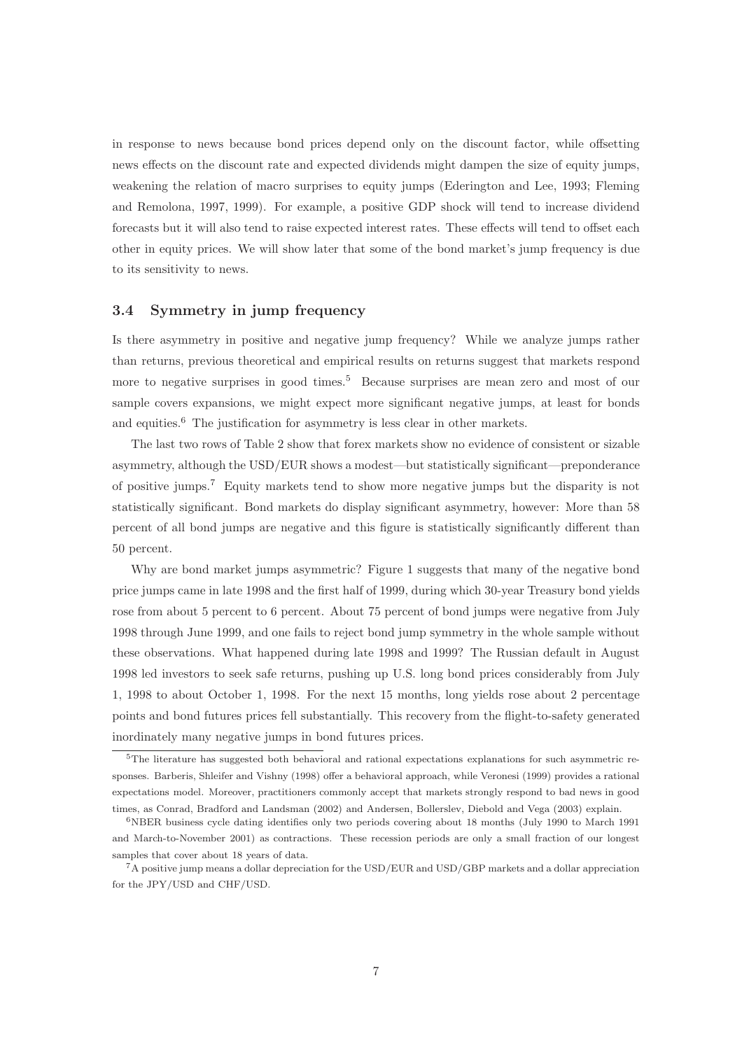in response to news because bond prices depend only on the discount factor, while offsetting news effects on the discount rate and expected dividends might dampen the size of equity jumps, weakening the relation of macro surprises to equity jumps (Ederington and Lee, 1993; Fleming and Remolona, 1997, 1999). For example, a positive GDP shock will tend to increase dividend forecasts but it will also tend to raise expected interest rates. These effects will tend to offset each other in equity prices. We will show later that some of the bond market's jump frequency is due to its sensitivity to news.

### 3.4 Symmetry in jump frequency

Is there asymmetry in positive and negative jump frequency? While we analyze jumps rather than returns, previous theoretical and empirical results on returns suggest that markets respond more to negative surprises in good times.<sup>5</sup> Because surprises are mean zero and most of our sample covers expansions, we might expect more significant negative jumps, at least for bonds and equities.<sup>6</sup> The justification for asymmetry is less clear in other markets.

The last two rows of Table 2 show that forex markets show no evidence of consistent or sizable asymmetry, although the USD/EUR shows a modest—but statistically significant—preponderance of positive jumps.<sup>7</sup> Equity markets tend to show more negative jumps but the disparity is not statistically significant. Bond markets do display significant asymmetry, however: More than 58 percent of all bond jumps are negative and this figure is statistically significantly different than 50 percent.

Why are bond market jumps asymmetric? Figure 1 suggests that many of the negative bond price jumps came in late 1998 and the first half of 1999, during which 30-year Treasury bond yields rose from about 5 percent to 6 percent. About 75 percent of bond jumps were negative from July 1998 through June 1999, and one fails to reject bond jump symmetry in the whole sample without these observations. What happened during late 1998 and 1999? The Russian default in August 1998 led investors to seek safe returns, pushing up U.S. long bond prices considerably from July 1, 1998 to about October 1, 1998. For the next 15 months, long yields rose about 2 percentage points and bond futures prices fell substantially. This recovery from the flight-to-safety generated inordinately many negative jumps in bond futures prices.

<sup>5</sup>The literature has suggested both behavioral and rational expectations explanations for such asymmetric responses. Barberis, Shleifer and Vishny (1998) offer a behavioral approach, while Veronesi (1999) provides a rational expectations model. Moreover, practitioners commonly accept that markets strongly respond to bad news in good times, as Conrad, Bradford and Landsman (2002) and Andersen, Bollerslev, Diebold and Vega (2003) explain.

<sup>6</sup>NBER business cycle dating identifies only two periods covering about 18 months (July 1990 to March 1991 and March-to-November 2001) as contractions. These recession periods are only a small fraction of our longest samples that cover about 18 years of data.

<sup>7</sup>A positive jump means a dollar depreciation for the USD/EUR and USD/GBP markets and a dollar appreciation for the JPY/USD and CHF/USD.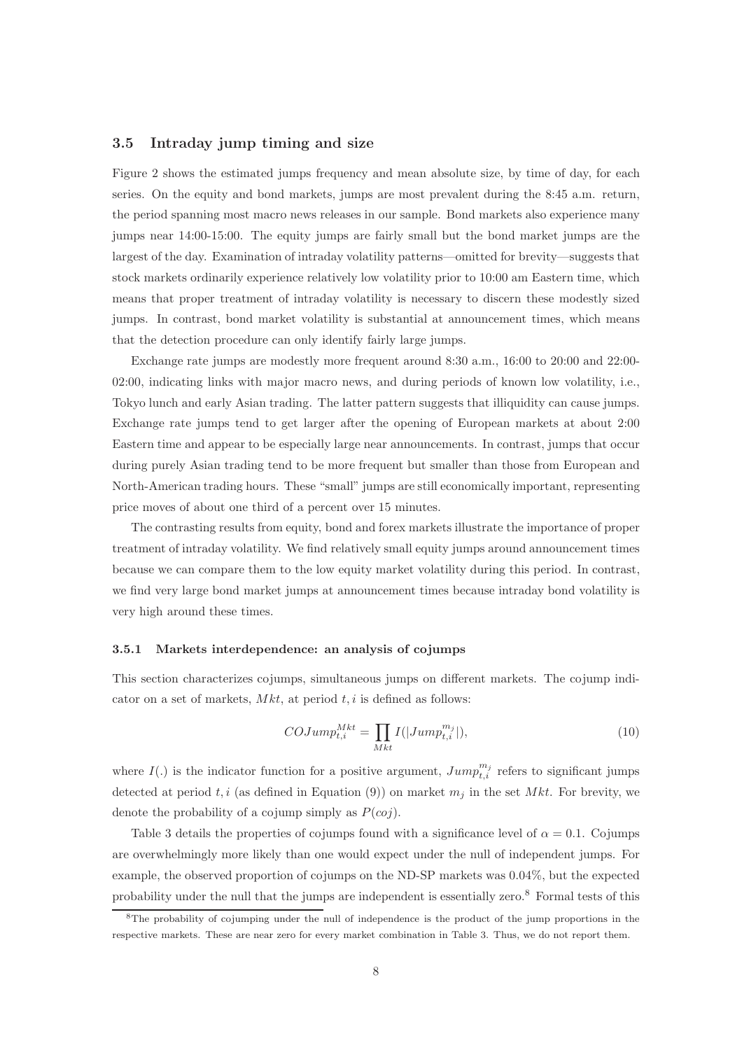## 3.5 Intraday jump timing and size

Figure 2 shows the estimated jumps frequency and mean absolute size, by time of day, for each series. On the equity and bond markets, jumps are most prevalent during the 8:45 a.m. return, the period spanning most macro news releases in our sample. Bond markets also experience many jumps near 14:00-15:00. The equity jumps are fairly small but the bond market jumps are the largest of the day. Examination of intraday volatility patterns—omitted for brevity—suggests that stock markets ordinarily experience relatively low volatility prior to 10:00 am Eastern time, which means that proper treatment of intraday volatility is necessary to discern these modestly sized jumps. In contrast, bond market volatility is substantial at announcement times, which means that the detection procedure can only identify fairly large jumps.

Exchange rate jumps are modestly more frequent around 8:30 a.m., 16:00 to 20:00 and 22:00- 02:00, indicating links with major macro news, and during periods of known low volatility, i.e., Tokyo lunch and early Asian trading. The latter pattern suggests that illiquidity can cause jumps. Exchange rate jumps tend to get larger after the opening of European markets at about 2:00 Eastern time and appear to be especially large near announcements. In contrast, jumps that occur during purely Asian trading tend to be more frequent but smaller than those from European and North-American trading hours. These "small" jumps are still economically important, representing price moves of about one third of a percent over 15 minutes.

The contrasting results from equity, bond and forex markets illustrate the importance of proper treatment of intraday volatility. We find relatively small equity jumps around announcement times because we can compare them to the low equity market volatility during this period. In contrast, we find very large bond market jumps at announcement times because intraday bond volatility is very high around these times.

### 3.5.1 Markets interdependence: an analysis of cojumps

This section characterizes cojumps, simultaneous jumps on different markets. The cojump indicator on a set of markets,  $Mkt$ , at period  $t, i$  is defined as follows:

$$
COJump_{t,i}^{Mkt} = \prod_{Mkt} I(|Jump_{t,i}^{m_j}|),\tag{10}
$$

where  $I(.)$  is the indicator function for a positive argument,  $Jump_{t,i}^{m_j}$  refers to significant jumps detected at period t, i (as defined in Equation (9)) on market  $m_i$  in the set Mkt. For brevity, we denote the probability of a cojump simply as  $P(coj)$ .

Table 3 details the properties of cojumps found with a significance level of  $\alpha = 0.1$ . Cojumps are overwhelmingly more likely than one would expect under the null of independent jumps. For example, the observed proportion of cojumps on the ND-SP markets was 0.04%, but the expected probability under the null that the jumps are independent is essentially zero.<sup>8</sup> Formal tests of this

<sup>8</sup>The probability of cojumping under the null of independence is the product of the jump proportions in the respective markets. These are near zero for every market combination in Table 3. Thus, we do not report them.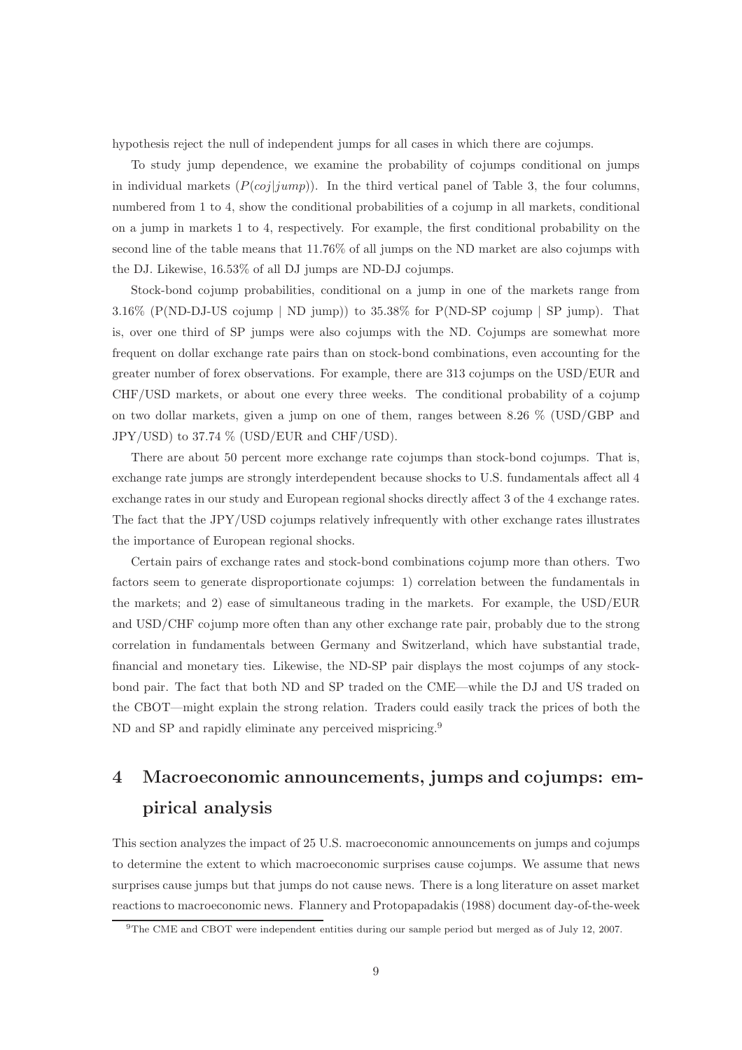hypothesis reject the null of independent jumps for all cases in which there are cojumps.

To study jump dependence, we examine the probability of cojumps conditional on jumps in individual markets  $(P(coj|jump))$ . In the third vertical panel of Table 3, the four columns, numbered from 1 to 4, show the conditional probabilities of a cojump in all markets, conditional on a jump in markets 1 to 4, respectively. For example, the first conditional probability on the second line of the table means that 11.76% of all jumps on the ND market are also cojumps with the DJ. Likewise, 16.53% of all DJ jumps are ND-DJ cojumps.

Stock-bond cojump probabilities, conditional on a jump in one of the markets range from 3.16% (P(ND-DJ-US cojump | ND jump)) to 35.38% for P(ND-SP cojump | SP jump). That is, over one third of SP jumps were also cojumps with the ND. Cojumps are somewhat more frequent on dollar exchange rate pairs than on stock-bond combinations, even accounting for the greater number of forex observations. For example, there are 313 cojumps on the USD/EUR and CHF/USD markets, or about one every three weeks. The conditional probability of a cojump on two dollar markets, given a jump on one of them, ranges between 8.26 % (USD/GBP and JPY/USD) to 37.74 % (USD/EUR and CHF/USD).

There are about 50 percent more exchange rate cojumps than stock-bond cojumps. That is, exchange rate jumps are strongly interdependent because shocks to U.S. fundamentals affect all 4 exchange rates in our study and European regional shocks directly affect 3 of the 4 exchange rates. The fact that the JPY/USD cojumps relatively infrequently with other exchange rates illustrates the importance of European regional shocks.

Certain pairs of exchange rates and stock-bond combinations cojump more than others. Two factors seem to generate disproportionate cojumps: 1) correlation between the fundamentals in the markets; and 2) ease of simultaneous trading in the markets. For example, the USD/EUR and USD/CHF cojump more often than any other exchange rate pair, probably due to the strong correlation in fundamentals between Germany and Switzerland, which have substantial trade, financial and monetary ties. Likewise, the ND-SP pair displays the most cojumps of any stockbond pair. The fact that both ND and SP traded on the CME—while the DJ and US traded on the CBOT—might explain the strong relation. Traders could easily track the prices of both the ND and SP and rapidly eliminate any perceived mispricing.<sup>9</sup>

# 4 Macroeconomic announcements, jumps and cojumps: empirical analysis

This section analyzes the impact of 25 U.S. macroeconomic announcements on jumps and cojumps to determine the extent to which macroeconomic surprises cause cojumps. We assume that news surprises cause jumps but that jumps do not cause news. There is a long literature on asset market reactions to macroeconomic news. Flannery and Protopapadakis (1988) document day-of-the-week

<sup>9</sup>The CME and CBOT were independent entities during our sample period but merged as of July 12, 2007.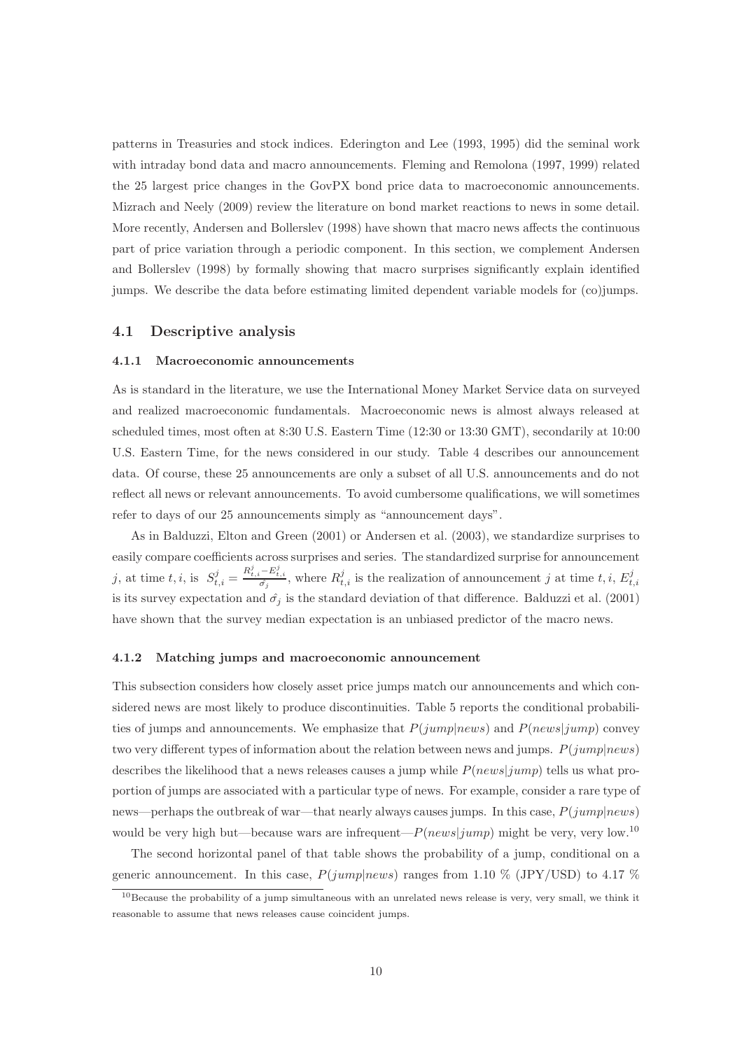patterns in Treasuries and stock indices. Ederington and Lee (1993, 1995) did the seminal work with intraday bond data and macro announcements. Fleming and Remolona (1997, 1999) related the 25 largest price changes in the GovPX bond price data to macroeconomic announcements. Mizrach and Neely (2009) review the literature on bond market reactions to news in some detail. More recently, Andersen and Bollerslev (1998) have shown that macro news affects the continuous part of price variation through a periodic component. In this section, we complement Andersen and Bollerslev (1998) by formally showing that macro surprises significantly explain identified jumps. We describe the data before estimating limited dependent variable models for (co)jumps.

### 4.1 Descriptive analysis

### 4.1.1 Macroeconomic announcements

As is standard in the literature, we use the International Money Market Service data on surveyed and realized macroeconomic fundamentals. Macroeconomic news is almost always released at scheduled times, most often at 8:30 U.S. Eastern Time (12:30 or 13:30 GMT), secondarily at 10:00 U.S. Eastern Time, for the news considered in our study. Table 4 describes our announcement data. Of course, these 25 announcements are only a subset of all U.S. announcements and do not reflect all news or relevant announcements. To avoid cumbersome qualifications, we will sometimes refer to days of our 25 announcements simply as "announcement days".

As in Balduzzi, Elton and Green (2001) or Andersen et al. (2003), we standardize surprises to easily compare coefficients across surprises and series. The standardized surprise for announcement j, at time t, i, is  $S_{t,i}^j = \frac{R_{t,i}^j - E_{t,i}^j}{\hat{\sigma}_j}$ , where  $R_{t,i}^j$  is the realization of announcement j at time t, i,  $E_{t,i}^j$ is its survey expectation and  $\hat{\sigma}_j$  is the standard deviation of that difference. Balduzzi et al. (2001) have shown that the survey median expectation is an unbiased predictor of the macro news.

### 4.1.2 Matching jumps and macroeconomic announcement

This subsection considers how closely asset price jumps match our announcements and which considered news are most likely to produce discontinuities. Table 5 reports the conditional probabilities of jumps and announcements. We emphasize that  $P(jump|news)$  and  $P(newsljump)$  convey two very different types of information about the relation between news and jumps.  $P(jump|news)$ describes the likelihood that a news releases causes a jump while  $P(news|jump)$  tells us what proportion of jumps are associated with a particular type of news. For example, consider a rare type of news—perhaps the outbreak of war—that nearly always causes jumps. In this case,  $P(jump|news)$ would be very high but—because wars are infrequent— $P(newsjump)$  might be very, very low.<sup>10</sup>

The second horizontal panel of that table shows the probability of a jump, conditional on a generic announcement. In this case,  $P(jump|news)$  ranges from 1.10 % (JPY/USD) to 4.17 %

 $10$ Because the probability of a jump simultaneous with an unrelated news release is very, very small, we think it reasonable to assume that news releases cause coincident jumps.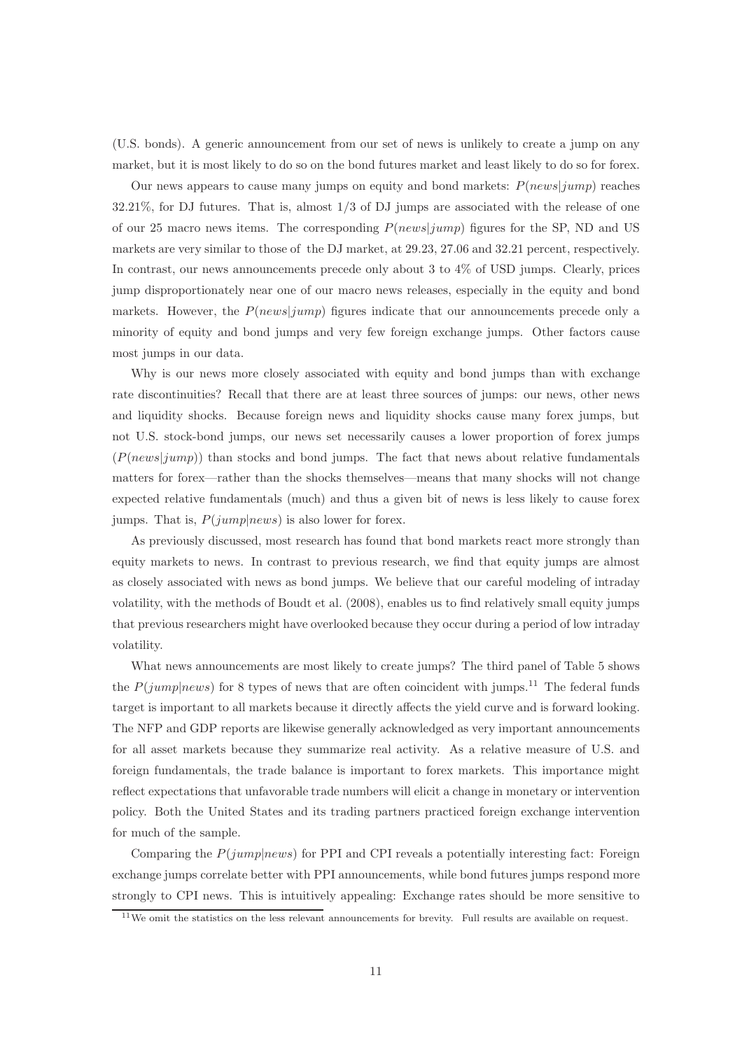(U.S. bonds). A generic announcement from our set of news is unlikely to create a jump on any market, but it is most likely to do so on the bond futures market and least likely to do so for forex.

Our news appears to cause many jumps on equity and bond markets:  $P(newsljump)$  reaches 32.21%, for DJ futures. That is, almost 1/3 of DJ jumps are associated with the release of one of our 25 macro news items. The corresponding  $P(news|jump)$  figures for the SP, ND and US markets are very similar to those of the DJ market, at 29.23, 27.06 and 32.21 percent, respectively. In contrast, our news announcements precede only about 3 to 4% of USD jumps. Clearly, prices jump disproportionately near one of our macro news releases, especially in the equity and bond markets. However, the  $P(newsliump)$  figures indicate that our announcements precede only a minority of equity and bond jumps and very few foreign exchange jumps. Other factors cause most jumps in our data.

Why is our news more closely associated with equity and bond jumps than with exchange rate discontinuities? Recall that there are at least three sources of jumps: our news, other news and liquidity shocks. Because foreign news and liquidity shocks cause many forex jumps, but not U.S. stock-bond jumps, our news set necessarily causes a lower proportion of forex jumps  $(P(newsjjump))$  than stocks and bond jumps. The fact that news about relative fundamentals matters for forex—rather than the shocks themselves—means that many shocks will not change expected relative fundamentals (much) and thus a given bit of news is less likely to cause forex jumps. That is,  $P(iump|news)$  is also lower for forex.

As previously discussed, most research has found that bond markets react more strongly than equity markets to news. In contrast to previous research, we find that equity jumps are almost as closely associated with news as bond jumps. We believe that our careful modeling of intraday volatility, with the methods of Boudt et al. (2008), enables us to find relatively small equity jumps that previous researchers might have overlooked because they occur during a period of low intraday volatility.

What news announcements are most likely to create jumps? The third panel of Table 5 shows the  $P(jump|news)$  for 8 types of news that are often coincident with jumps.<sup>11</sup> The federal funds target is important to all markets because it directly affects the yield curve and is forward looking. The NFP and GDP reports are likewise generally acknowledged as very important announcements for all asset markets because they summarize real activity. As a relative measure of U.S. and foreign fundamentals, the trade balance is important to forex markets. This importance might reflect expectations that unfavorable trade numbers will elicit a change in monetary or intervention policy. Both the United States and its trading partners practiced foreign exchange intervention for much of the sample.

Comparing the  $P(jump|news)$  for PPI and CPI reveals a potentially interesting fact: Foreign exchange jumps correlate better with PPI announcements, while bond futures jumps respond more strongly to CPI news. This is intuitively appealing: Exchange rates should be more sensitive to

<sup>&</sup>lt;sup>11</sup>We omit the statistics on the less relevant announcements for brevity. Full results are available on request.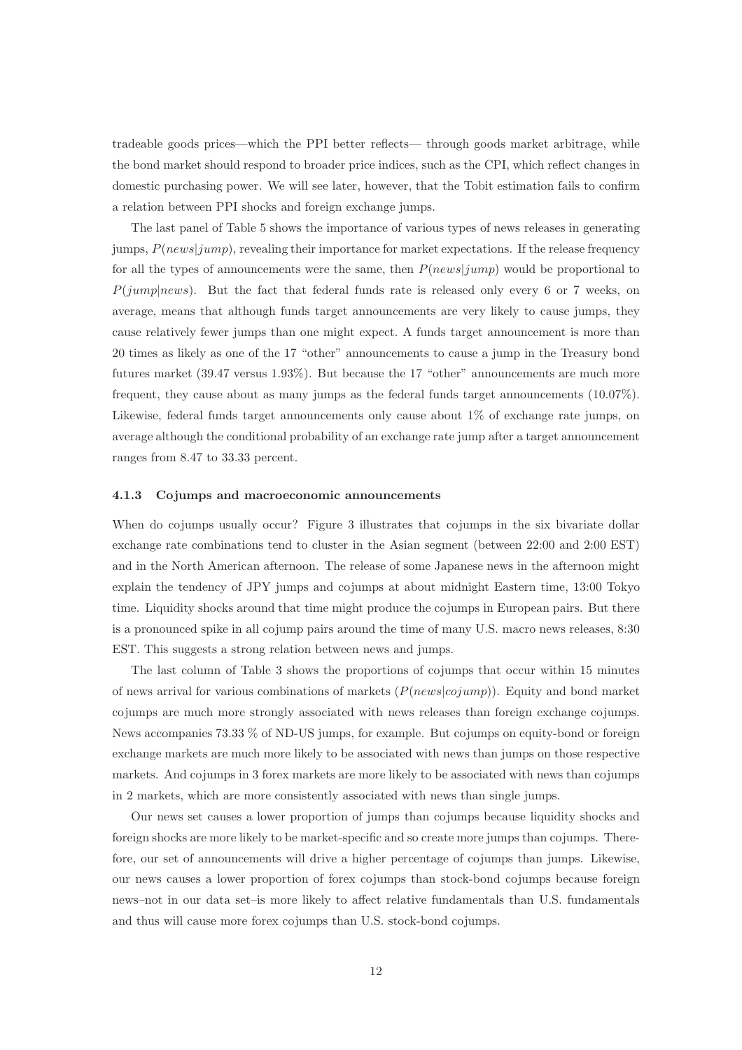tradeable goods prices—which the PPI better reflects— through goods market arbitrage, while the bond market should respond to broader price indices, such as the CPI, which reflect changes in domestic purchasing power. We will see later, however, that the Tobit estimation fails to confirm a relation between PPI shocks and foreign exchange jumps.

The last panel of Table 5 shows the importance of various types of news releases in generating jumps,  $P(news|jump)$ , revealing their importance for market expectations. If the release frequency for all the types of announcements were the same, then  $P(news|jump)$  would be proportional to  $P(jump|news)$ . But the fact that federal funds rate is released only every 6 or 7 weeks, on average, means that although funds target announcements are very likely to cause jumps, they cause relatively fewer jumps than one might expect. A funds target announcement is more than 20 times as likely as one of the 17 "other" announcements to cause a jump in the Treasury bond futures market (39.47 versus 1.93%). But because the 17 "other" announcements are much more frequent, they cause about as many jumps as the federal funds target announcements (10.07%). Likewise, federal funds target announcements only cause about 1% of exchange rate jumps, on average although the conditional probability of an exchange rate jump after a target announcement ranges from 8.47 to 33.33 percent.

### 4.1.3 Cojumps and macroeconomic announcements

When do cojumps usually occur? Figure 3 illustrates that cojumps in the six bivariate dollar exchange rate combinations tend to cluster in the Asian segment (between 22:00 and 2:00 EST) and in the North American afternoon. The release of some Japanese news in the afternoon might explain the tendency of JPY jumps and cojumps at about midnight Eastern time, 13:00 Tokyo time. Liquidity shocks around that time might produce the cojumps in European pairs. But there is a pronounced spike in all cojump pairs around the time of many U.S. macro news releases, 8:30 EST. This suggests a strong relation between news and jumps.

The last column of Table 3 shows the proportions of cojumps that occur within 15 minutes of news arrival for various combinations of markets  $(P(news|cojump))$ . Equity and bond market cojumps are much more strongly associated with news releases than foreign exchange cojumps. News accompanies 73.33 % of ND-US jumps, for example. But cojumps on equity-bond or foreign exchange markets are much more likely to be associated with news than jumps on those respective markets. And cojumps in 3 forex markets are more likely to be associated with news than cojumps in 2 markets, which are more consistently associated with news than single jumps.

Our news set causes a lower proportion of jumps than cojumps because liquidity shocks and foreign shocks are more likely to be market-specific and so create more jumps than cojumps. Therefore, our set of announcements will drive a higher percentage of cojumps than jumps. Likewise, our news causes a lower proportion of forex cojumps than stock-bond cojumps because foreign news–not in our data set–is more likely to affect relative fundamentals than U.S. fundamentals and thus will cause more forex cojumps than U.S. stock-bond cojumps.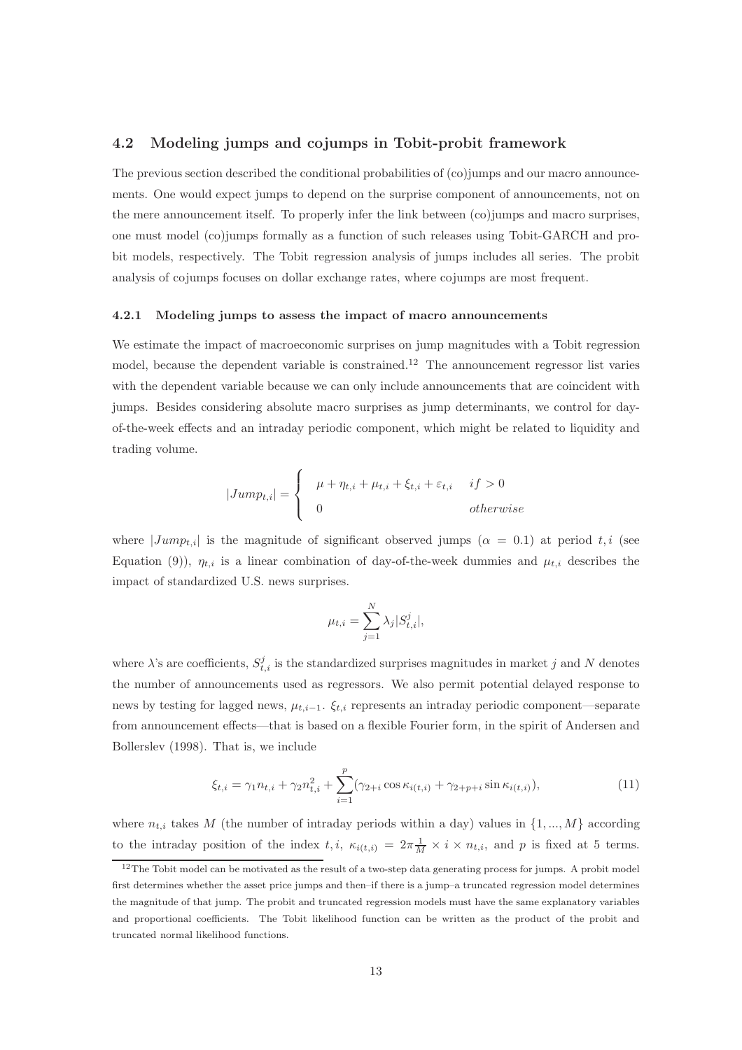### 4.2 Modeling jumps and cojumps in Tobit-probit framework

The previous section described the conditional probabilities of (co)jumps and our macro announcements. One would expect jumps to depend on the surprise component of announcements, not on the mere announcement itself. To properly infer the link between (co)jumps and macro surprises, one must model (co)jumps formally as a function of such releases using Tobit-GARCH and probit models, respectively. The Tobit regression analysis of jumps includes all series. The probit analysis of cojumps focuses on dollar exchange rates, where cojumps are most frequent.

### 4.2.1 Modeling jumps to assess the impact of macro announcements

We estimate the impact of macroeconomic surprises on jump magnitudes with a Tobit regression model, because the dependent variable is constrained.<sup>12</sup> The announcement regressor list varies with the dependent variable because we can only include announcements that are coincident with jumps. Besides considering absolute macro surprises as jump determinants, we control for dayof-the-week effects and an intraday periodic component, which might be related to liquidity and trading volume.

$$
|Jump_{t,i}| = \begin{cases} \mu + \eta_{t,i} + \mu_{t,i} + \xi_{t,i} + \varepsilon_{t,i} & if > 0 \\ 0 & otherwise \end{cases}
$$

where  $|Jump_{t,i}|$  is the magnitude of significant observed jumps  $(\alpha = 0.1)$  at period t, i (see Equation (9)),  $\eta_{t,i}$  is a linear combination of day-of-the-week dummies and  $\mu_{t,i}$  describes the impact of standardized U.S. news surprises.

$$
\mu_{t,i} = \sum_{j=1}^{N} \lambda_j |S_{t,i}^j|,
$$

where  $\lambda$ 's are coefficients,  $S_{t,i}^j$  is the standardized surprises magnitudes in market j and N denotes the number of announcements used as regressors. We also permit potential delayed response to news by testing for lagged news,  $\mu_{t,i-1}$ .  $\xi_{t,i}$  represents an intraday periodic component—separate from announcement effects—that is based on a flexible Fourier form, in the spirit of Andersen and Bollerslev (1998). That is, we include

$$
\xi_{t,i} = \gamma_1 n_{t,i} + \gamma_2 n_{t,i}^2 + \sum_{i=1}^p (\gamma_{2+i} \cos \kappa_{i(t,i)} + \gamma_{2+p+i} \sin \kappa_{i(t,i)}), \tag{11}
$$

where  $n_{t,i}$  takes M (the number of intraday periods within a day) values in  $\{1, ..., M\}$  according to the intraday position of the index  $t, i, \kappa_{i(t,i)} = 2\pi \frac{1}{M} \times i \times n_{t,i}$ , and p is fixed at 5 terms.

 $12$ The Tobit model can be motivated as the result of a two-step data generating process for jumps. A probit model first determines whether the asset price jumps and then–if there is a jump–a truncated regression model determines the magnitude of that jump. The probit and truncated regression models must have the same explanatory variables and proportional coefficients. The Tobit likelihood function can be written as the product of the probit and truncated normal likelihood functions.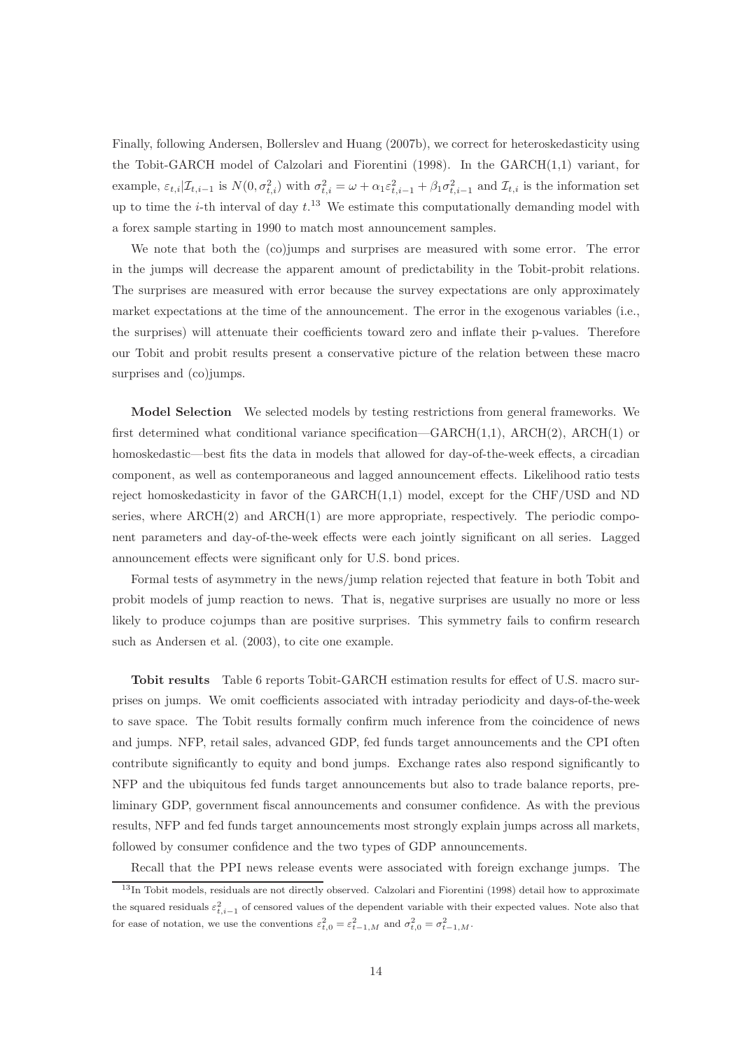Finally, following Andersen, Bollerslev and Huang (2007b), we correct for heteroskedasticity using the Tobit-GARCH model of Calzolari and Fiorentini (1998). In the GARCH(1,1) variant, for example,  $\varepsilon_{t,i}|\mathcal{I}_{t,i-1}$  is  $N(0, \sigma_{t,i}^2)$  with  $\sigma_{t,i}^2 = \omega + \alpha_1 \varepsilon_{t,i-1}^2 + \beta_1 \sigma_{t,i-1}^2$  and  $\mathcal{I}_{t,i}$  is the information set up to time the *i*-th interval of day  $t^{13}$ . We estimate this computationally demanding model with a forex sample starting in 1990 to match most announcement samples.

We note that both the (co)jumps and surprises are measured with some error. The error in the jumps will decrease the apparent amount of predictability in the Tobit-probit relations. The surprises are measured with error because the survey expectations are only approximately market expectations at the time of the announcement. The error in the exogenous variables (i.e., the surprises) will attenuate their coefficients toward zero and inflate their p-values. Therefore our Tobit and probit results present a conservative picture of the relation between these macro surprises and (co)jumps.

Model Selection We selected models by testing restrictions from general frameworks. We first determined what conditional variance specification—GARCH(1,1), ARCH(2), ARCH(1) or homoskedastic—best fits the data in models that allowed for day-of-the-week effects, a circadian component, as well as contemporaneous and lagged announcement effects. Likelihood ratio tests reject homoskedasticity in favor of the GARCH(1,1) model, except for the CHF/USD and ND series, where  $\text{ARCH}(2)$  and  $\text{ARCH}(1)$  are more appropriate, respectively. The periodic component parameters and day-of-the-week effects were each jointly significant on all series. Lagged announcement effects were significant only for U.S. bond prices.

Formal tests of asymmetry in the news/jump relation rejected that feature in both Tobit and probit models of jump reaction to news. That is, negative surprises are usually no more or less likely to produce cojumps than are positive surprises. This symmetry fails to confirm research such as Andersen et al. (2003), to cite one example.

Tobit results Table 6 reports Tobit-GARCH estimation results for effect of U.S. macro surprises on jumps. We omit coefficients associated with intraday periodicity and days-of-the-week to save space. The Tobit results formally confirm much inference from the coincidence of news and jumps. NFP, retail sales, advanced GDP, fed funds target announcements and the CPI often contribute significantly to equity and bond jumps. Exchange rates also respond significantly to NFP and the ubiquitous fed funds target announcements but also to trade balance reports, preliminary GDP, government fiscal announcements and consumer confidence. As with the previous results, NFP and fed funds target announcements most strongly explain jumps across all markets, followed by consumer confidence and the two types of GDP announcements.

Recall that the PPI news release events were associated with foreign exchange jumps. The

 $13$ In Tobit models, residuals are not directly observed. Calzolari and Fiorentini (1998) detail how to approximate the squared residuals  $\varepsilon_{t,i-1}^2$  of censored values of the dependent variable with their expected values. Note also that for ease of notation, we use the conventions  $\varepsilon_{t,0}^2 = \varepsilon_{t-1,M}^2$  and  $\sigma_{t,0}^2 = \sigma_{t-1,M}^2$ .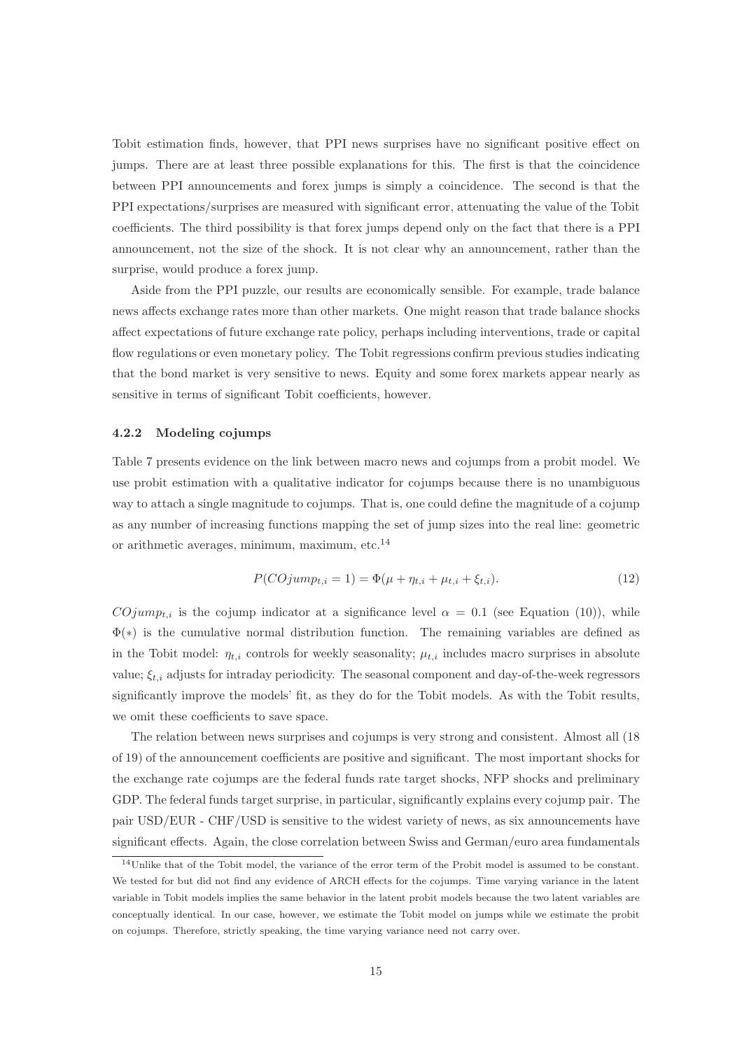Tobit estimation finds, however, that PPI news surprises have no significant positive effect on jumps. There are at least three possible explanations for this. The first is that the coincidence between PPI announcements and forex jumps is simply a coincidence. The second is that the PPI expectations/surprises are measured with significant error, attenuating the value of the Tobit coefficients. The third possibility is that forex jumps depend only on the fact that there is a PPI announcement, not the size of the shock. It is not clear why an announcement, rather than the surprise, would produce a forex jump.

Aside from the PPI puzzle, our results are economically sensible. For example, trade balance news affects exchange rates more than other markets. One might reason that trade balance shocks affect expectations of future exchange rate policy, perhaps including interventions, trade or capital flow regulations or even monetary policy. The Tobit regressions confirm previous studies indicating that the bond market is very sensitive to news. Equity and some forex markets appear nearly as sensitive in terms of significant Tobit coefficients, however.

### 4.2.2 Modeling cojumps

Table 7 presents evidence on the link between macro news and cojumps from a probit model. We use probit estimation with a qualitative indicator for cojumps because there is no unambiguous way to attach a single magnitude to cojumps. That is, one could define the magnitude of a cojump as any number of increasing functions mapping the set of jump sizes into the real line: geometric or arithmetic averages, minimum, maximum, etc.<sup>14</sup>

$$
P(COjump_{t,i} = 1) = \Phi(\mu + \eta_{t,i} + \mu_{t,i} + \xi_{t,i}).
$$
\n(12)

COjump<sub>t,i</sub> is the cojump indicator at a significance level  $\alpha = 0.1$  (see Equation (10)), while  $\Phi(*)$  is the cumulative normal distribution function. The remaining variables are defined as in the Tobit model:  $\eta_{t,i}$  controls for weekly seasonality;  $\mu_{t,i}$  includes macro surprises in absolute value;  $\xi_{t,i}$  adjusts for intraday periodicity. The seasonal component and day-of-the-week regressors significantly improve the models' fit, as they do for the Tobit models. As with the Tobit results, we omit these coefficients to save space.

The relation between news surprises and cojumps is very strong and consistent. Almost all (18 of 19) of the announcement coefficients are positive and significant. The most important shocks for the exchange rate cojumps are the federal funds rate target shocks, NFP shocks and preliminary GDP. The federal funds target surprise, in particular, significantly explains every cojump pair. The pair USD/EUR - CHF/USD is sensitive to the widest variety of news, as six announcements have significant effects. Again, the close correlation between Swiss and German/euro area fundamentals

<sup>14</sup>Unlike that of the Tobit model, the variance of the error term of the Probit model is assumed to be constant. We tested for but did not find any evidence of ARCH effects for the cojumps. Time varying variance in the latent variable in Tobit models implies the same behavior in the latent probit models because the two latent variables are conceptually identical. In our case, however, we estimate the Tobit model on jumps while we estimate the probit on cojumps. Therefore, strictly speaking, the time varying variance need not carry over.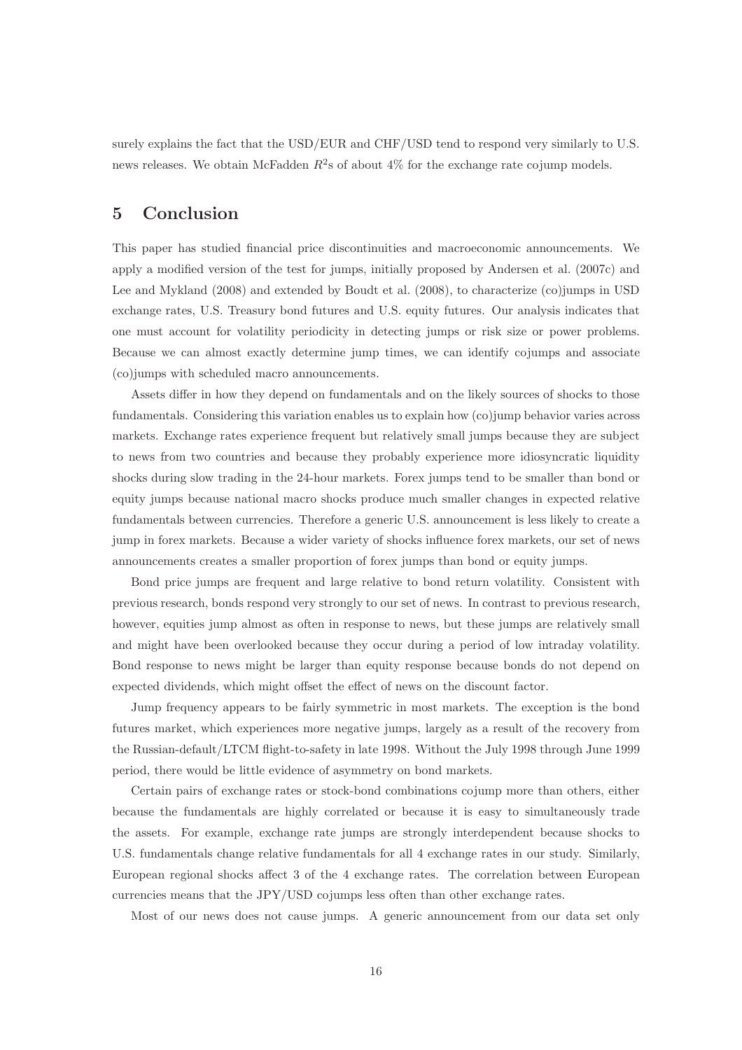surely explains the fact that the USD/EUR and CHF/USD tend to respond very similarly to U.S. news releases. We obtain McFadden  $R^2$ s of about 4% for the exchange rate cojump models.

## 5 Conclusion

This paper has studied financial price discontinuities and macroeconomic announcements. We apply a modified version of the test for jumps, initially proposed by Andersen et al. (2007c) and Lee and Mykland (2008) and extended by Boudt et al. (2008), to characterize (co)jumps in USD exchange rates, U.S. Treasury bond futures and U.S. equity futures. Our analysis indicates that one must account for volatility periodicity in detecting jumps or risk size or power problems. Because we can almost exactly determine jump times, we can identify cojumps and associate (co)jumps with scheduled macro announcements.

Assets differ in how they depend on fundamentals and on the likely sources of shocks to those fundamentals. Considering this variation enables us to explain how (co)jump behavior varies across markets. Exchange rates experience frequent but relatively small jumps because they are subject to news from two countries and because they probably experience more idiosyncratic liquidity shocks during slow trading in the 24-hour markets. Forex jumps tend to be smaller than bond or equity jumps because national macro shocks produce much smaller changes in expected relative fundamentals between currencies. Therefore a generic U.S. announcement is less likely to create a jump in forex markets. Because a wider variety of shocks influence forex markets, our set of news announcements creates a smaller proportion of forex jumps than bond or equity jumps.

Bond price jumps are frequent and large relative to bond return volatility. Consistent with previous research, bonds respond very strongly to our set of news. In contrast to previous research, however, equities jump almost as often in response to news, but these jumps are relatively small and might have been overlooked because they occur during a period of low intraday volatility. Bond response to news might be larger than equity response because bonds do not depend on expected dividends, which might offset the effect of news on the discount factor.

Jump frequency appears to be fairly symmetric in most markets. The exception is the bond futures market, which experiences more negative jumps, largely as a result of the recovery from the Russian-default/LTCM flight-to-safety in late 1998. Without the July 1998 through June 1999 period, there would be little evidence of asymmetry on bond markets.

Certain pairs of exchange rates or stock-bond combinations cojump more than others, either because the fundamentals are highly correlated or because it is easy to simultaneously trade the assets. For example, exchange rate jumps are strongly interdependent because shocks to U.S. fundamentals change relative fundamentals for all 4 exchange rates in our study. Similarly, European regional shocks affect 3 of the 4 exchange rates. The correlation between European currencies means that the JPY/USD cojumps less often than other exchange rates.

Most of our news does not cause jumps. A generic announcement from our data set only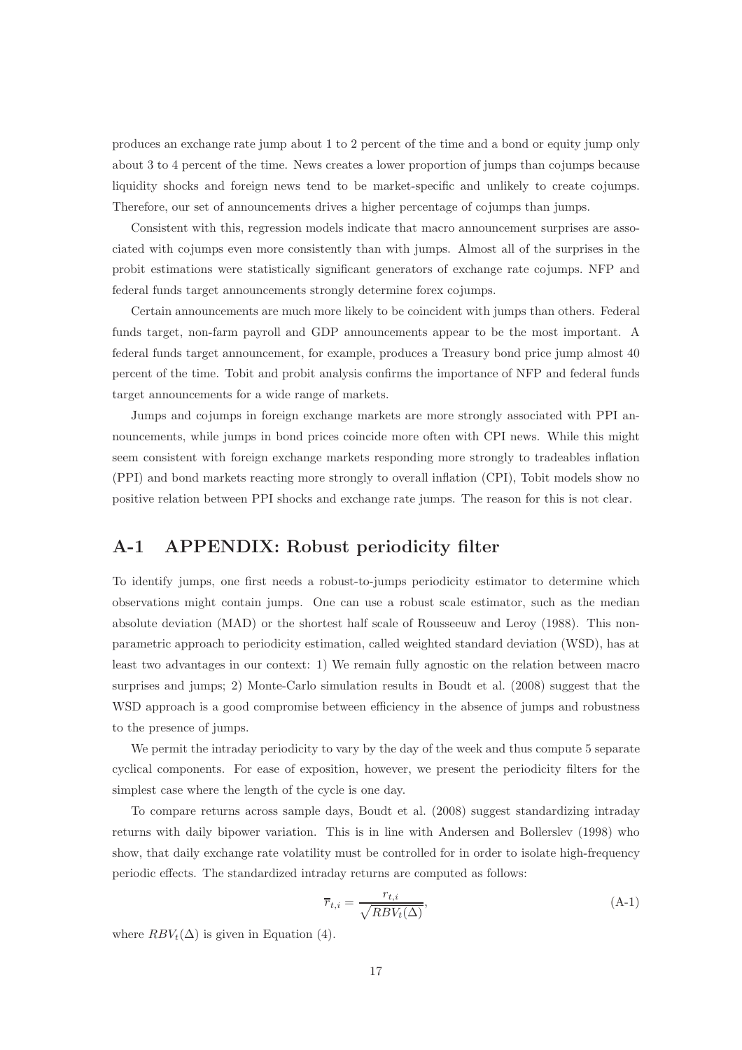produces an exchange rate jump about 1 to 2 percent of the time and a bond or equity jump only about 3 to 4 percent of the time. News creates a lower proportion of jumps than cojumps because liquidity shocks and foreign news tend to be market-specific and unlikely to create cojumps. Therefore, our set of announcements drives a higher percentage of cojumps than jumps.

Consistent with this, regression models indicate that macro announcement surprises are associated with cojumps even more consistently than with jumps. Almost all of the surprises in the probit estimations were statistically significant generators of exchange rate cojumps. NFP and federal funds target announcements strongly determine forex cojumps.

Certain announcements are much more likely to be coincident with jumps than others. Federal funds target, non-farm payroll and GDP announcements appear to be the most important. A federal funds target announcement, for example, produces a Treasury bond price jump almost 40 percent of the time. Tobit and probit analysis confirms the importance of NFP and federal funds target announcements for a wide range of markets.

Jumps and cojumps in foreign exchange markets are more strongly associated with PPI announcements, while jumps in bond prices coincide more often with CPI news. While this might seem consistent with foreign exchange markets responding more strongly to tradeables inflation (PPI) and bond markets reacting more strongly to overall inflation (CPI), Tobit models show no positive relation between PPI shocks and exchange rate jumps. The reason for this is not clear.

## A-1 APPENDIX: Robust periodicity filter

To identify jumps, one first needs a robust-to-jumps periodicity estimator to determine which observations might contain jumps. One can use a robust scale estimator, such as the median absolute deviation (MAD) or the shortest half scale of Rousseeuw and Leroy (1988). This nonparametric approach to periodicity estimation, called weighted standard deviation (WSD), has at least two advantages in our context: 1) We remain fully agnostic on the relation between macro surprises and jumps; 2) Monte-Carlo simulation results in Boudt et al. (2008) suggest that the WSD approach is a good compromise between efficiency in the absence of jumps and robustness to the presence of jumps.

We permit the intraday periodicity to vary by the day of the week and thus compute 5 separate cyclical components. For ease of exposition, however, we present the periodicity filters for the simplest case where the length of the cycle is one day.

To compare returns across sample days, Boudt et al. (2008) suggest standardizing intraday returns with daily bipower variation. This is in line with Andersen and Bollerslev (1998) who show, that daily exchange rate volatility must be controlled for in order to isolate high-frequency periodic effects. The standardized intraday returns are computed as follows:

$$
\overline{r}_{t,i} = \frac{r_{t,i}}{\sqrt{RBV_t(\Delta)}},\tag{A-1}
$$

where  $RBV_t(\Delta)$  is given in Equation (4).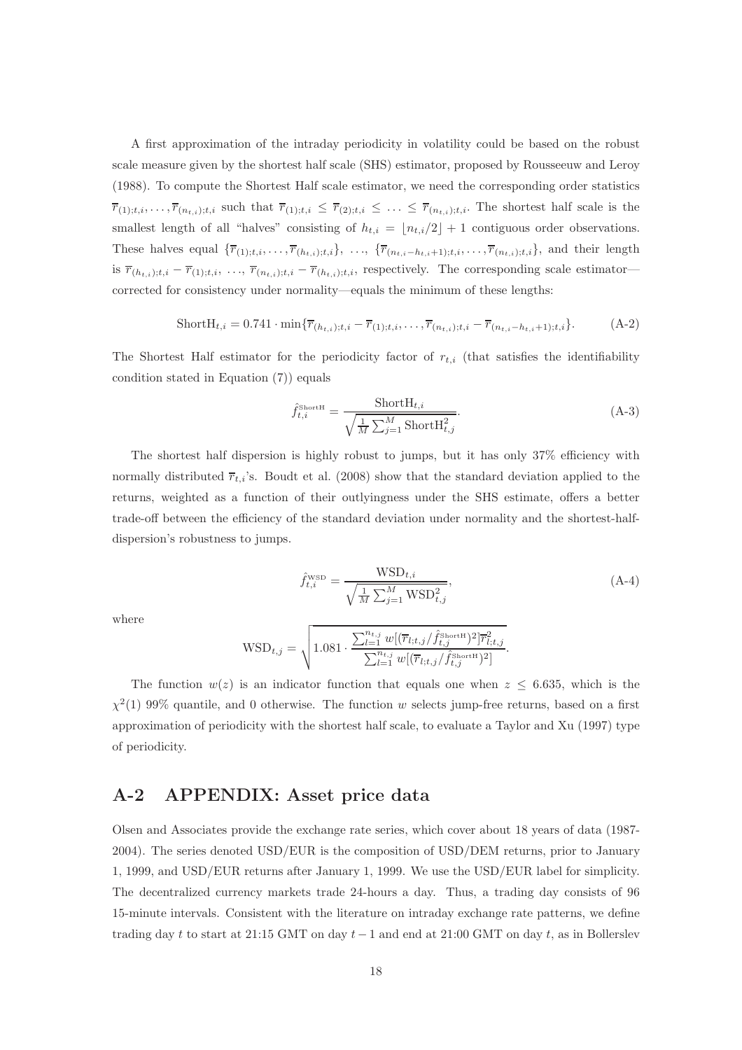A first approximation of the intraday periodicity in volatility could be based on the robust scale measure given by the shortest half scale (SHS) estimator, proposed by Rousseeuw and Leroy (1988). To compute the Shortest Half scale estimator, we need the corresponding order statistics  $\overline{r}_{(1);t,i},\ldots,\overline{r}_{(n_{t,i});t,i}$  such that  $\overline{r}_{(1);t,i} \leq \overline{r}_{(2);t,i} \leq \ldots \leq \overline{r}_{(n_{t,i});t,i}$ . The shortest half scale is the smallest length of all "halves" consisting of  $h_{t,i} = \lfloor n_{t,i}/2 \rfloor + 1$  contiguous order observations. These halves equal  $\{\overline{r}_{(1);t,i},\ldots,\overline{r}_{(h_{t,i});t,i}\},\ldots,\{\overline{r}_{(n_{t,i}-h_{t,i}+1);t,i},\ldots,\overline{r}_{(n_{t,i});t,i}\},\}$  and their length is  $\overline{r}_{(h_{t,i});t,i} - \overline{r}_{(1);t,i}, \ldots, \overline{r}_{(n_{t,i});t,i} - \overline{r}_{(h_{t,i});t,i}$ , respectively. The corresponding scale estimator corrected for consistency under normality—equals the minimum of these lengths:

ShortH<sub>t,i</sub> = 0.741 · min
$$
\{\overline{r}_{(h_{t,i});t,i} - \overline{r}_{(1);t,i}, \ldots, \overline{r}_{(n_{t,i});t,i} - \overline{r}_{(n_{t,i}-h_{t,i}+1);t,i}\}.
$$
 (A-2)

The Shortest Half estimator for the periodicity factor of  $r_{t,i}$  (that satisfies the identifiability condition stated in Equation (7)) equals

$$
\hat{f}_{t,i}^{\text{ShortH}} = \frac{\text{ShortH}_{t,i}}{\sqrt{\frac{1}{M} \sum_{j=1}^{M} \text{ShortH}_{t,j}^2}}.
$$
\n(A-3)

The shortest half dispersion is highly robust to jumps, but it has only 37% efficiency with normally distributed  $\overline{r}_{t,i}$ 's. Boudt et al. (2008) show that the standard deviation applied to the returns, weighted as a function of their outlyingness under the SHS estimate, offers a better trade-off between the efficiency of the standard deviation under normality and the shortest-halfdispersion's robustness to jumps.

$$
\hat{f}_{t,i}^{\text{WSD}} = \frac{\text{WSD}_{t,i}}{\sqrt{\frac{1}{M} \sum_{j=1}^{M} \text{WSD}_{t,j}^2}},\tag{A-4}
$$

where

$$
\text{WSD}_{t,j} = \sqrt{1.081 \cdot \frac{\sum_{l=1}^{n_{t,j}} w[(\overline{r}_{l;t,j}/\hat{f}_{t,j}^{\text{ShortH}})^2] \overline{r}_{l;t,j}^2}{\sum_{l=1}^{n_{t,j}} w[(\overline{r}_{l;t,j}/\hat{f}_{t,j}^{\text{ShortH}})^2]}}.
$$

The function  $w(z)$  is an indicator function that equals one when  $z \leq 6.635$ , which is the  $\chi^2(1)$  99% quantile, and 0 otherwise. The function w selects jump-free returns, based on a first approximation of periodicity with the shortest half scale, to evaluate a Taylor and Xu (1997) type of periodicity.

## A-2 APPENDIX: Asset price data

Olsen and Associates provide the exchange rate series, which cover about 18 years of data (1987- 2004). The series denoted USD/EUR is the composition of USD/DEM returns, prior to January 1, 1999, and USD/EUR returns after January 1, 1999. We use the USD/EUR label for simplicity. The decentralized currency markets trade 24-hours a day. Thus, a trading day consists of 96 15-minute intervals. Consistent with the literature on intraday exchange rate patterns, we define trading day t to start at 21:15 GMT on day  $t-1$  and end at 21:00 GMT on day t, as in Bollerslev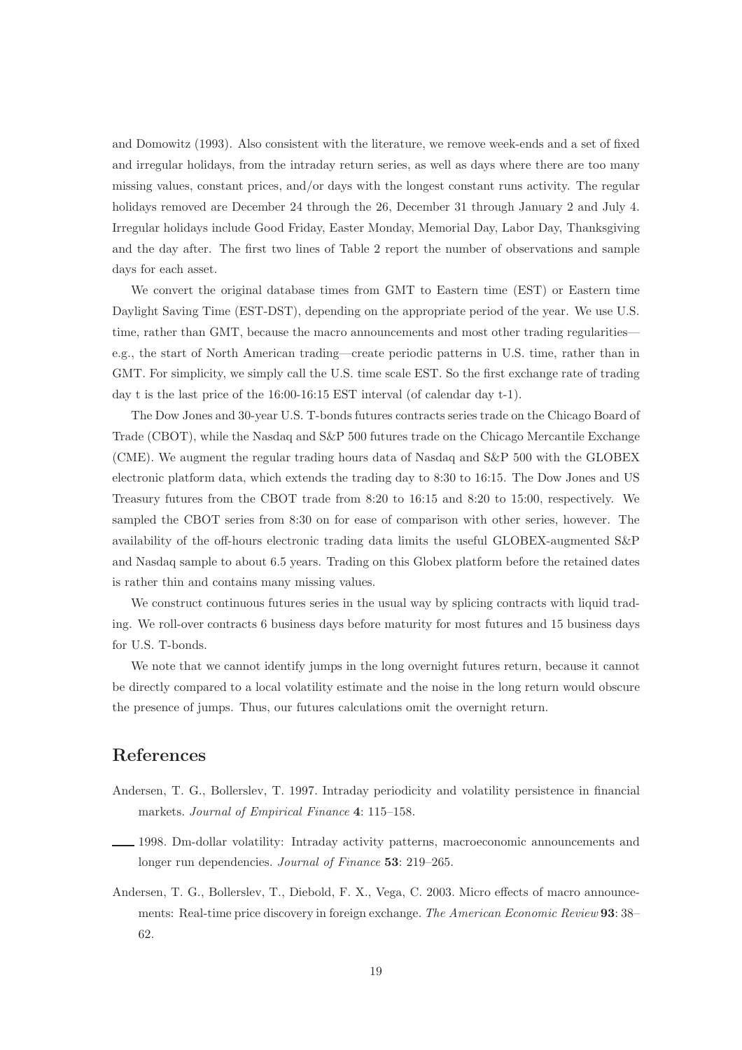and Domowitz (1993). Also consistent with the literature, we remove week-ends and a set of fixed and irregular holidays, from the intraday return series, as well as days where there are too many missing values, constant prices, and/or days with the longest constant runs activity. The regular holidays removed are December 24 through the 26, December 31 through January 2 and July 4. Irregular holidays include Good Friday, Easter Monday, Memorial Day, Labor Day, Thanksgiving and the day after. The first two lines of Table 2 report the number of observations and sample days for each asset.

We convert the original database times from GMT to Eastern time (EST) or Eastern time Daylight Saving Time (EST-DST), depending on the appropriate period of the year. We use U.S. time, rather than GMT, because the macro announcements and most other trading regularities e.g., the start of North American trading—create periodic patterns in U.S. time, rather than in GMT. For simplicity, we simply call the U.S. time scale EST. So the first exchange rate of trading day t is the last price of the 16:00-16:15 EST interval (of calendar day t-1).

The Dow Jones and 30-year U.S. T-bonds futures contracts series trade on the Chicago Board of Trade (CBOT), while the Nasdaq and S&P 500 futures trade on the Chicago Mercantile Exchange (CME). We augment the regular trading hours data of Nasdaq and S&P 500 with the GLOBEX electronic platform data, which extends the trading day to 8:30 to 16:15. The Dow Jones and US Treasury futures from the CBOT trade from 8:20 to 16:15 and 8:20 to 15:00, respectively. We sampled the CBOT series from 8:30 on for ease of comparison with other series, however. The availability of the off-hours electronic trading data limits the useful GLOBEX-augmented S&P and Nasdaq sample to about 6.5 years. Trading on this Globex platform before the retained dates is rather thin and contains many missing values.

We construct continuous futures series in the usual way by splicing contracts with liquid trading. We roll-over contracts 6 business days before maturity for most futures and 15 business days for U.S. T-bonds.

We note that we cannot identify jumps in the long overnight futures return, because it cannot be directly compared to a local volatility estimate and the noise in the long return would obscure the presence of jumps. Thus, our futures calculations omit the overnight return.

## References

- Andersen, T. G., Bollerslev, T. 1997. Intraday periodicity and volatility persistence in financial markets. Journal of Empirical Finance 4: 115–158.
- 1998. Dm-dollar volatility: Intraday activity patterns, macroeconomic announcements and longer run dependencies. Journal of Finance 53: 219–265.
- Andersen, T. G., Bollerslev, T., Diebold, F. X., Vega, C. 2003. Micro effects of macro announcements: Real-time price discovery in foreign exchange. The American Economic Review 93: 38– 62.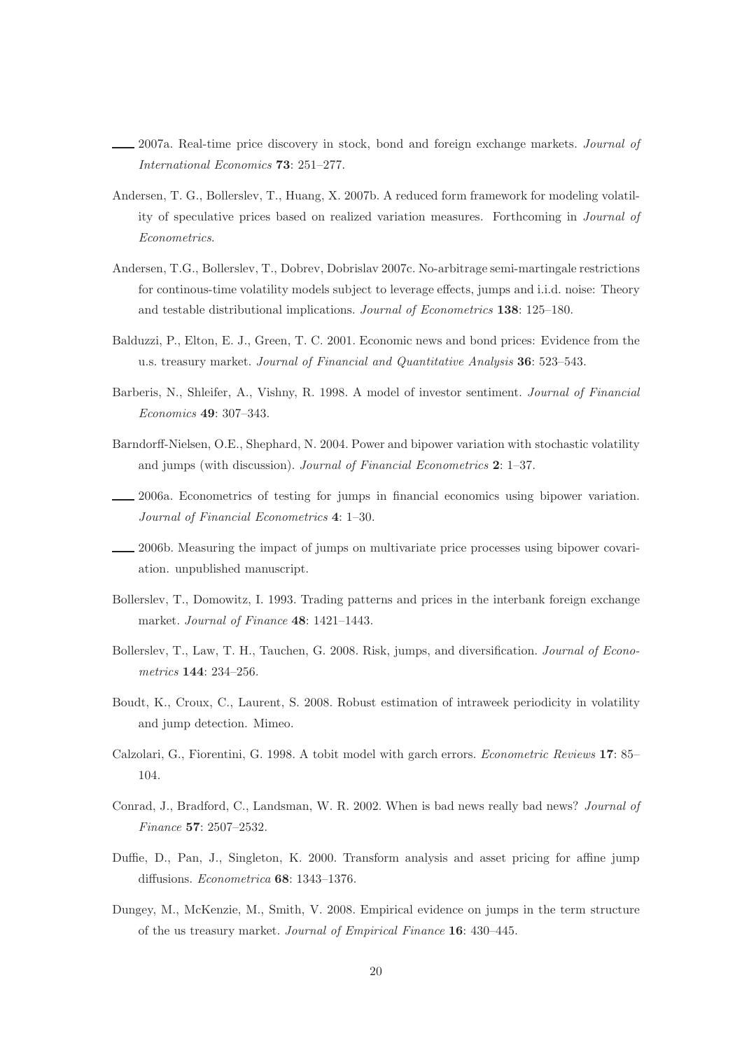- 2007a. Real-time price discovery in stock, bond and foreign exchange markets. Journal of International Economics 73: 251–277.
- Andersen, T. G., Bollerslev, T., Huang, X. 2007b. A reduced form framework for modeling volatility of speculative prices based on realized variation measures. Forthcoming in Journal of Econometrics.
- Andersen, T.G., Bollerslev, T., Dobrev, Dobrislav 2007c. No-arbitrage semi-martingale restrictions for continous-time volatility models subject to leverage effects, jumps and i.i.d. noise: Theory and testable distributional implications. Journal of Econometrics 138: 125–180.
- Balduzzi, P., Elton, E. J., Green, T. C. 2001. Economic news and bond prices: Evidence from the u.s. treasury market. Journal of Financial and Quantitative Analysis 36: 523–543.
- Barberis, N., Shleifer, A., Vishny, R. 1998. A model of investor sentiment. Journal of Financial Economics 49: 307–343.
- Barndorff-Nielsen, O.E., Shephard, N. 2004. Power and bipower variation with stochastic volatility and jumps (with discussion). Journal of Financial Econometrics 2: 1–37.
- 2006a. Econometrics of testing for jumps in financial economics using bipower variation. Journal of Financial Econometrics 4: 1–30.
- 2006b. Measuring the impact of jumps on multivariate price processes using bipower covariation. unpublished manuscript.
- Bollerslev, T., Domowitz, I. 1993. Trading patterns and prices in the interbank foreign exchange market. Journal of Finance 48: 1421–1443.
- Bollerslev, T., Law, T. H., Tauchen, G. 2008. Risk, jumps, and diversification. Journal of Econometrics 144: 234–256.
- Boudt, K., Croux, C., Laurent, S. 2008. Robust estimation of intraweek periodicity in volatility and jump detection. Mimeo.
- Calzolari, G., Fiorentini, G. 1998. A tobit model with garch errors. Econometric Reviews 17: 85– 104.
- Conrad, J., Bradford, C., Landsman, W. R. 2002. When is bad news really bad news? Journal of Finance 57: 2507–2532.
- Duffie, D., Pan, J., Singleton, K. 2000. Transform analysis and asset pricing for affine jump diffusions. Econometrica 68: 1343–1376.
- Dungey, M., McKenzie, M., Smith, V. 2008. Empirical evidence on jumps in the term structure of the us treasury market. Journal of Empirical Finance 16: 430–445.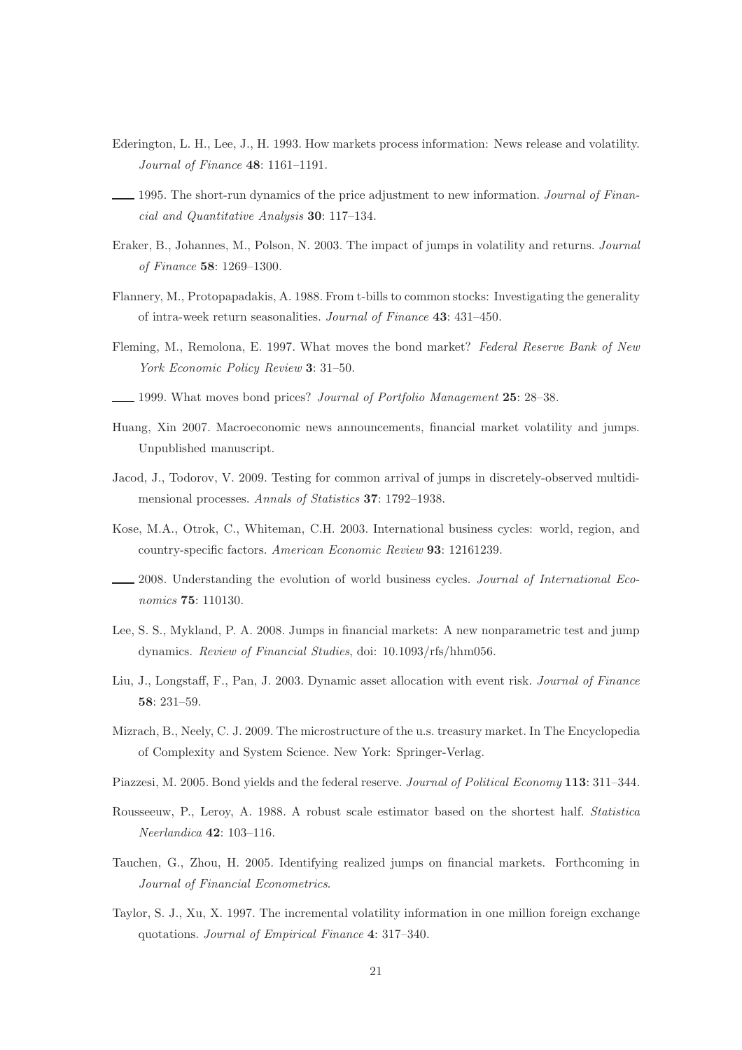- Ederington, L. H., Lee, J., H. 1993. How markets process information: News release and volatility. Journal of Finance 48: 1161–1191.
- 1995. The short-run dynamics of the price adjustment to new information. Journal of Financial and Quantitative Analysis 30: 117–134.
- Eraker, B., Johannes, M., Polson, N. 2003. The impact of jumps in volatility and returns. Journal of Finance 58: 1269–1300.
- Flannery, M., Protopapadakis, A. 1988. From t-bills to common stocks: Investigating the generality of intra-week return seasonalities. Journal of Finance 43: 431–450.
- Fleming, M., Remolona, E. 1997. What moves the bond market? Federal Reserve Bank of New York Economic Policy Review 3: 31–50.
- 1999. What moves bond prices? Journal of Portfolio Management 25: 28–38.
- Huang, Xin 2007. Macroeconomic news announcements, financial market volatility and jumps. Unpublished manuscript.
- Jacod, J., Todorov, V. 2009. Testing for common arrival of jumps in discretely-observed multidimensional processes. Annals of Statistics 37: 1792–1938.
- Kose, M.A., Otrok, C., Whiteman, C.H. 2003. International business cycles: world, region, and country-specific factors. American Economic Review 93: 12161239.
- 2008. Understanding the evolution of world business cycles. Journal of International Economics 75: 110130.
- Lee, S. S., Mykland, P. A. 2008. Jumps in financial markets: A new nonparametric test and jump dynamics. Review of Financial Studies, doi: 10.1093/rfs/hhm056.
- Liu, J., Longstaff, F., Pan, J. 2003. Dynamic asset allocation with event risk. Journal of Finance 58: 231–59.
- Mizrach, B., Neely, C. J. 2009. The microstructure of the u.s. treasury market. In The Encyclopedia of Complexity and System Science. New York: Springer-Verlag.
- Piazzesi, M. 2005. Bond yields and the federal reserve. Journal of Political Economy 113: 311–344.
- Rousseeuw, P., Leroy, A. 1988. A robust scale estimator based on the shortest half. Statistica Neerlandica 42: 103–116.
- Tauchen, G., Zhou, H. 2005. Identifying realized jumps on financial markets. Forthcoming in Journal of Financial Econometrics.
- Taylor, S. J., Xu, X. 1997. The incremental volatility information in one million foreign exchange quotations. Journal of Empirical Finance 4: 317–340.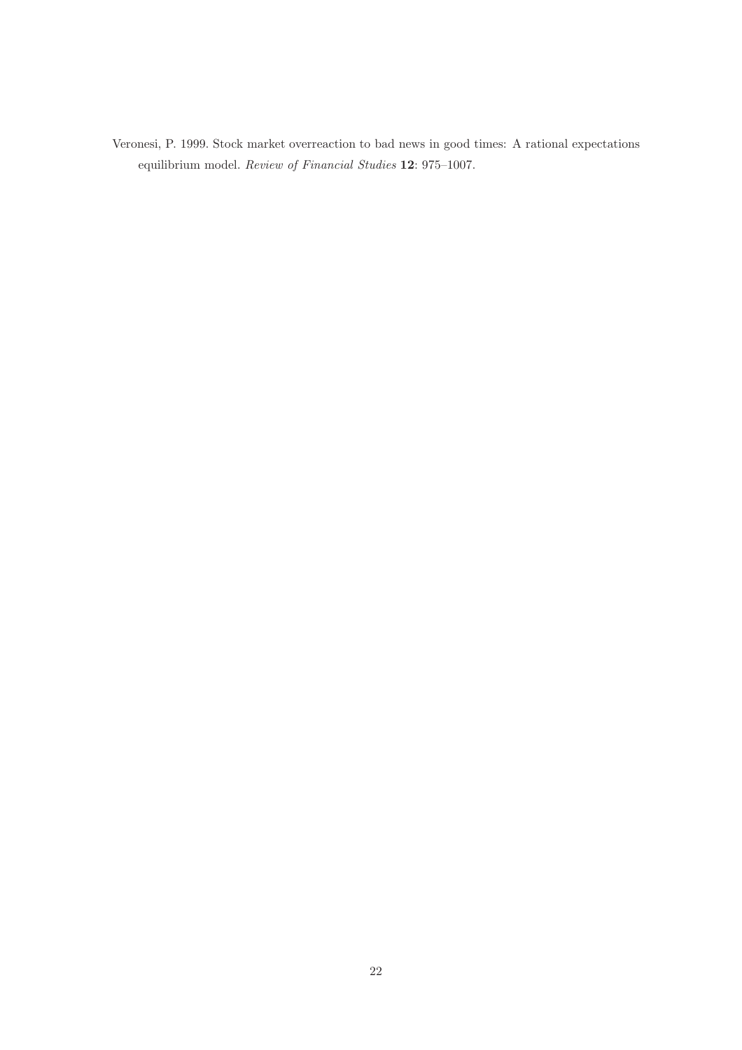Veronesi, P. 1999. Stock market overreaction to bad news in good times: A rational expectations equilibrium model. Review of Financial Studies 12: 975–1007.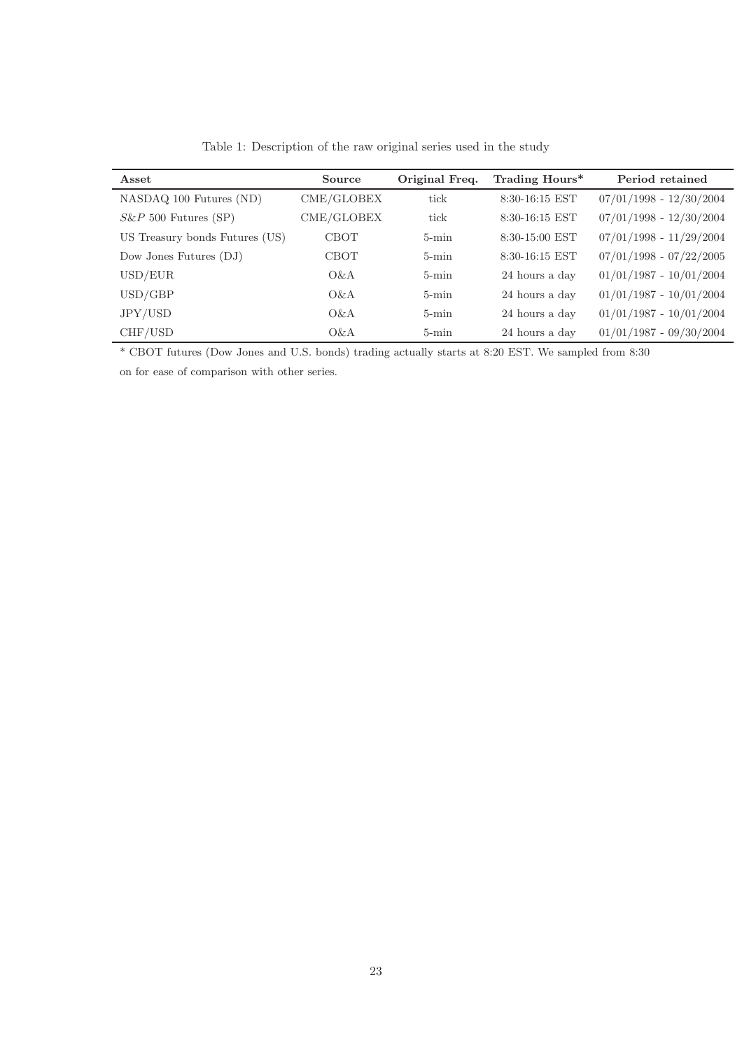| Asset                          | <b>Source</b> | Original Freq. | Trading Hours* | Period retained           |
|--------------------------------|---------------|----------------|----------------|---------------------------|
| NASDAQ 100 Futures (ND)        | CME/GLOBEX    | tick           | 8:30-16:15 EST | $07/01/1998 - 12/30/2004$ |
| $S\&P$ 500 Futures (SP)        | CME/GLOBEX    | tick           | 8:30-16:15 EST | $07/01/1998 - 12/30/2004$ |
| US Treasury bonds Futures (US) | <b>CBOT</b>   | $5 - min$      | 8:30-15:00 EST | $07/01/1998 - 11/29/2004$ |
| Dow Jones Futures (DJ)         | <b>CBOT</b>   | $5 - min$      | 8:30-16:15 EST | $07/01/1998 - 07/22/2005$ |
| USD/EUR                        | O&A           | $5 - min$      | 24 hours a day | $01/01/1987 - 10/01/2004$ |
| USD/GBP                        | O&A           | $5 - min$      | 24 hours a day | $01/01/1987 - 10/01/2004$ |
| JPY/USD                        | O&A           | $5 - min$      | 24 hours a day | $01/01/1987 - 10/01/2004$ |
| CHF/USD                        | O&A           | $5 - min$      | 24 hours a day | $01/01/1987 - 09/30/2004$ |

Table 1: Description of the raw original series used in the study

\* CBOT futures (Dow Jones and U.S. bonds) trading actually starts at 8:20 EST. We sampled from 8:30

on for ease of comparison with other series.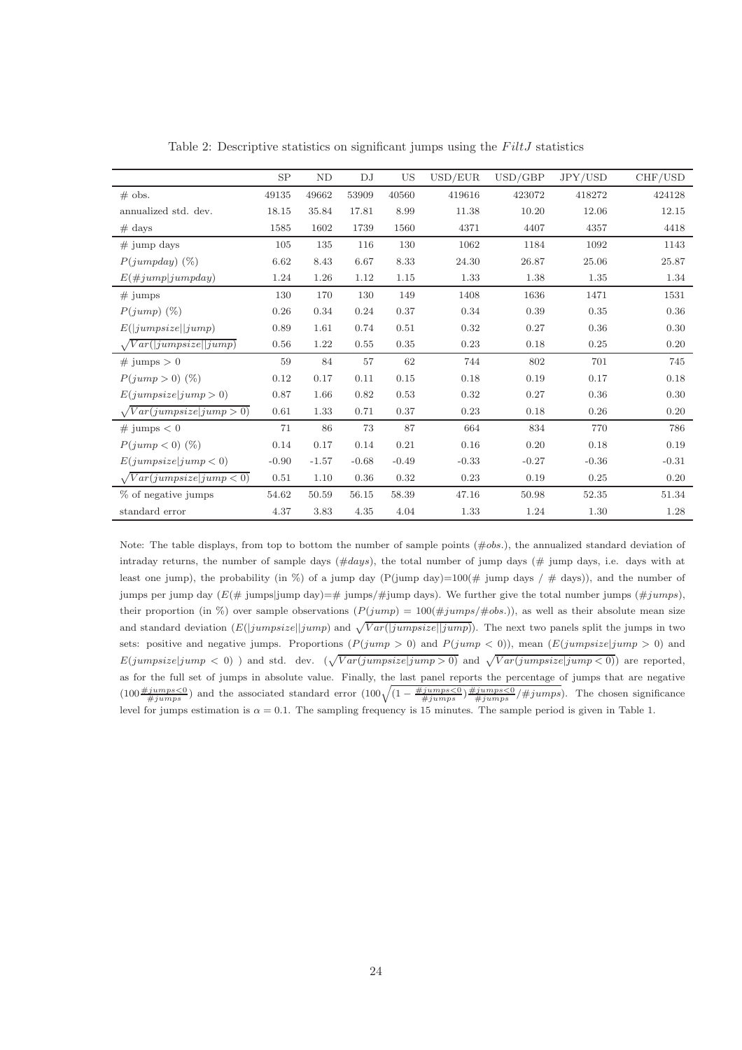|                               | SP      | ND      | DJ      | US      | $\rm{USD/EUR}$ | USD/GBP | JPY/USD | CHF/USD |
|-------------------------------|---------|---------|---------|---------|----------------|---------|---------|---------|
| $\#$ obs.                     | 49135   | 49662   | 53909   | 40560   | 419616         | 423072  | 418272  | 424128  |
| annualized std. dev.          | 18.15   | 35.84   | 17.81   | 8.99    | 11.38          | 10.20   | 12.06   | 12.15   |
| $# \; \text{days}$            | 1585    | 1602    | 1739    | 1560    | 4371           | 4407    | 4357    | 4418    |
| $\#$ jump days                | 105     | 135     | 116     | 130     | 1062           | 1184    | 1092    | 1143    |
| $P(jumpday)$ (%)              | 6.62    | 8.43    | 6.67    | 8.33    | 24.30          | 26.87   | 25.06   | 25.87   |
| $E(\#jump jumpday)$           | 1.24    | 1.26    | 1.12    | 1.15    | 1.33           | 1.38    | 1.35    | 1.34    |
| $# \text{ jumps}$             | 130     | 170     | 130     | 149     | 1408           | 1636    | 1471    | 1531    |
| $P(jump)$ $(\%)$              | 0.26    | 0.34    | 0.24    | 0.37    | 0.34           | 0.39    | 0.35    | 0.36    |
| E( jumpsize  jump)            | 0.89    | 1.61    | 0.74    | 0.51    | 0.32           | 0.27    | 0.36    | 0.30    |
| $\sqrt{Var( jumpsize  jump)}$ | 0.56    | 1.22    | 0.55    | 0.35    | 0.23           | 0.18    | 0.25    | 0.20    |
| # jumps $> 0$                 | 59      | 84      | 57      | 62      | 744            | 802     | 701     | 745     |
| $P(jump > 0)$ (%)             | 0.12    | 0.17    | 0.11    | 0.15    | 0.18           | 0.19    | 0.17    | 0.18    |
| E(jumpsize jump > 0)          | 0.87    | 1.66    | 0.82    | 0.53    | 0.32           | 0.27    | 0.36    | 0.30    |
| $\sqrt{Var(jumpsize jump>0)}$ | 0.61    | 1.33    | 0.71    | 0.37    | 0.23           | 0.18    | 0.26    | 0.20    |
| $\# \text{ jumps} < 0$        | 71      | 86      | 73      | 87      | 664            | 834     | 770     | 786     |
| $P(jump < 0)$ (%)             | 0.14    | 0.17    | 0.14    | 0.21    | 0.16           | 0.20    | 0.18    | 0.19    |
| E(jumpsize jump<0)            | $-0.90$ | $-1.57$ | $-0.68$ | $-0.49$ | $-0.33$        | $-0.27$ | $-0.36$ | $-0.31$ |
| $\sqrt{Var(jumpsize jump<0)}$ | 0.51    | 1.10    | 0.36    | 0.32    | 0.23           | 0.19    | 0.25    | 0.20    |
| % of negative jumps           | 54.62   | 50.59   | 56.15   | 58.39   | 47.16          | 50.98   | 52.35   | 51.34   |
| standard error                | 4.37    | 3.83    | 4.35    | 4.04    | 1.33           | 1.24    | 1.30    | 1.28    |

Table 2: Descriptive statistics on significant jumps using the  $FiltJ$  statistics

Note: The table displays, from top to bottom the number of sample points  $(\text{\#obs.})$ , the annualized standard deviation of intraday returns, the number of sample days  $(\text{\#days})$ , the total number of jump days  $(\text{\# jumps days, i.e. days with at }$ least one jump), the probability (in %) of a jump day  $(P(jump day)=100(\# jump days / # days))$ , and the number of jumps per jump day  $(E(\# \text{jumps}|jump \text{ day})=\# \text{jumps}/\#jump \text{ days})$ . We further give the total number jumps  $(\# \text{jumps})$ , their proportion (in %) over sample observations  $(P(jump) = 100(\#jumps/\#obs.))$ , as well as their absolute mean size and standard deviation  $(E(|jumpsize||jump)$  and  $\sqrt{Var(|jumpsize||jump})$ . The next two panels split the jumps in two sets: positive and negative jumps. Proportions  $(P(jump > 0)$  and  $P(jump < 0)$ ), mean  $(E(jump size|jump > 0)$  and  $E(jump size|jump < 0)$  ) and std. dev.  $(\sqrt{Var(jump > 0)}$  and  $\sqrt{Var(jump size|jump < 0})$  are reported, as for the full set of jumps in absolute value. Finally, the last panel reports the percentage of jumps that are negative  $(100 \frac{\#jumps<0}{\#jumps})$  and the associated standard error  $(100\sqrt{(1-\frac{\#jumps<0}{\#jumps})\frac{\#jumps<0}{\#jumps}}/\#jumps)$ . The chosen significance level for jumps estimation is  $\alpha = 0.1$ . The sampling frequency is 15 minutes. The sample period is given in Table 1.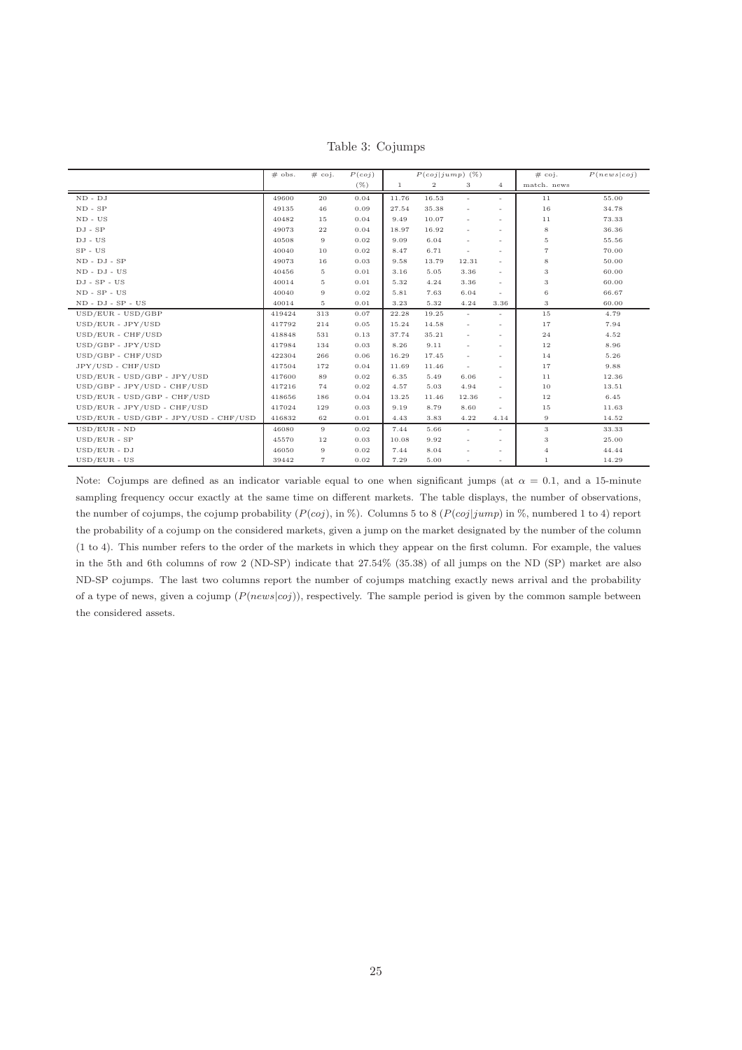Table 3: Cojumps

|                                       | $#$ obs. | $#$ coj.       | P(coj) |              | $P(coj   jump)$ (%) |                          |                          | $#$ coj.       | P(news coj) |
|---------------------------------------|----------|----------------|--------|--------------|---------------------|--------------------------|--------------------------|----------------|-------------|
|                                       |          |                | ( %)   | $\mathbf{1}$ | $\overline{2}$      | 3                        | $\overline{4}$           | match. news    |             |
| $ND - DJ$                             | 49600    | 20             | 0.04   | 11.76        | 16.53               | ٠                        | $\sim$                   | 11             | 55.00       |
| $ND - SP$                             | 49135    | 46             | 0.09   | 27.54        | 35.38               | $\overline{\phantom{a}}$ | ٠                        | 16             | 34.78       |
| $ND - US$                             | 40482    | 15             | 0.04   | 9.49         | 10.07               | $\overline{\phantom{a}}$ |                          | 11             | 73.33       |
| $DJ - SP$                             | 49073    | 22             | 0.04   | 18.97        | 16.92               | $\overline{\phantom{a}}$ | $\overline{\phantom{a}}$ | 8              | 36.36       |
| $DJ - US$                             | 40508    | 9              | 0.02   | 9.09         | 6.04                | $\overline{\phantom{a}}$ | ٠                        | 5              | 55.56       |
| $SP - US$                             | 40040    | $10$           | 0.02   | 8.47         | 6.71                | $\overline{\phantom{a}}$ |                          | $\overline{7}$ | 70.00       |
| $ND - DJ - SP$                        | 49073    | 16             | 0.03   | 9.58         | 13.79               | 12.31                    | ٠                        | 8              | 50.00       |
| ND - DJ - US                          | 40456    | 5              | 0.01   | 3.16         | 5.05                | 3.36                     | ٠                        | 3              | 60.00       |
| $DJ - SP - US$                        | 40014    | 5              | 0.01   | 5.32         | 4.24                | 3.36                     | $\overline{\phantom{a}}$ | 3              | 60.00       |
| ND - SP - US                          | 40040    | 9              | 0.02   | 5.81         | 7.63                | 6.04                     | $\overline{\phantom{a}}$ | 6              | 66.67       |
| $ND - DJ - SP - US$                   | 40014    | 5              | 0.01   | 3.23         | 5.32                | 4.24                     | 3.36                     | 3              | 60.00       |
| USD/EUR - USD/GBP                     | 419424   | 313            | 0.07   | 22.28        | 19.25               | $\sim$                   | ٠                        | 15             | 4.79        |
| USD/EUR - JPY/USD                     | 417792   | 214            | 0.05   | 15.24        | 14.58               | $\overline{\phantom{a}}$ | $\overline{\phantom{a}}$ | 17             | 7.94        |
| USD/EUR - CHF/USD                     | 418848   | 531            | 0.13   | 37.74        | 35.21               | $\overline{\phantom{a}}$ | ٠                        | 24             | 4.52        |
| USD/GBP - JPY/USD                     | 417984   | 134            | 0.03   | 8.26         | 9.11                | $\overline{\phantom{a}}$ | $\overline{\phantom{a}}$ | 12             | 8.96        |
| USD/GBP - CHF/USD                     | 422304   | 266            | 0.06   | 16.29        | 17.45               | $\overline{\phantom{a}}$ | $\overline{\phantom{a}}$ | 14             | 5.26        |
| JPY/USD - CHF/USD                     | 417504   | 172            | 0.04   | 11.69        | 11.46               | $\overline{\phantom{a}}$ | ٠                        | 17             | 9.88        |
| USD/EUR - USD/GBP - JPY/USD           | 417600   | 89             | 0.02   | 6.35         | 5.49                | 6.06                     | ٠                        | 11             | 12.36       |
| USD/GBP - JPY/USD - CHF/USD           | 417216   | 74             | 0.02   | 4.57         | 5.03                | 4.94                     | ٠                        | 10             | 13.51       |
| USD/EUR - USD/GBP - CHF/USD           | 418656   | 186            | 0.04   | 13.25        | 11.46               | 12.36                    | ٠                        | 12             | 6.45        |
| USD/EUR - JPY/USD - CHF/USD           | 417024   | 129            | 0.03   | 9.19         | 8.79                | 8.60                     | ٠                        | 15             | 11.63       |
| USD/EUR - USD/GBP - JPY/USD - CHF/USD | 416832   | 62             | 0.01   | 4.43         | 3.83                | 4.22                     | 4.14                     | 9              | 14.52       |
| $USD/EUR - ND$                        | 46080    | 9              | 0.02   | 7.44         | 5.66                | $\sim$                   | ٠                        | 3              | 33.33       |
| $USD/EUR$ - $SP$                      | 45570    | $1\,2$         | 0.03   | 10.08        | 9.92                | $\overline{\phantom{a}}$ | ٠                        | 3              | 25.00       |
| $USD/EUR - DJ$                        | 46050    | 9              | 0.02   | 7.44         | 8.04                | ٠                        | $\overline{\phantom{a}}$ | $\overline{4}$ | 44.44       |
| $USD/EUR$ - US                        | 39442    | $\overline{7}$ | 0.02   | 7.29         | 5.00                | ٠                        | ٠                        | $\mathbf{1}$   | 14.29       |

Note: Cojumps are defined as an indicator variable equal to one when significant jumps (at  $\alpha = 0.1$ , and a 15-minute sampling frequency occur exactly at the same time on different markets. The table displays, the number of observations, the number of cojumps, the cojump probability  $(P(coj), \text{in } \%)$ . Columns 5 to 8  $(P(coj|jump)$  in %, numbered 1 to 4) report the probability of a cojump on the considered markets, given a jump on the market designated by the number of the column (1 to 4). This number refers to the order of the markets in which they appear on the first column. For example, the values in the 5th and 6th columns of row 2 (ND-SP) indicate that 27.54% (35.38) of all jumps on the ND (SP) market are also ND-SP cojumps. The last two columns report the number of cojumps matching exactly news arrival and the probability of a type of news, given a cojump  $(P(news|coj))$ , respectively. The sample period is given by the common sample between the considered assets.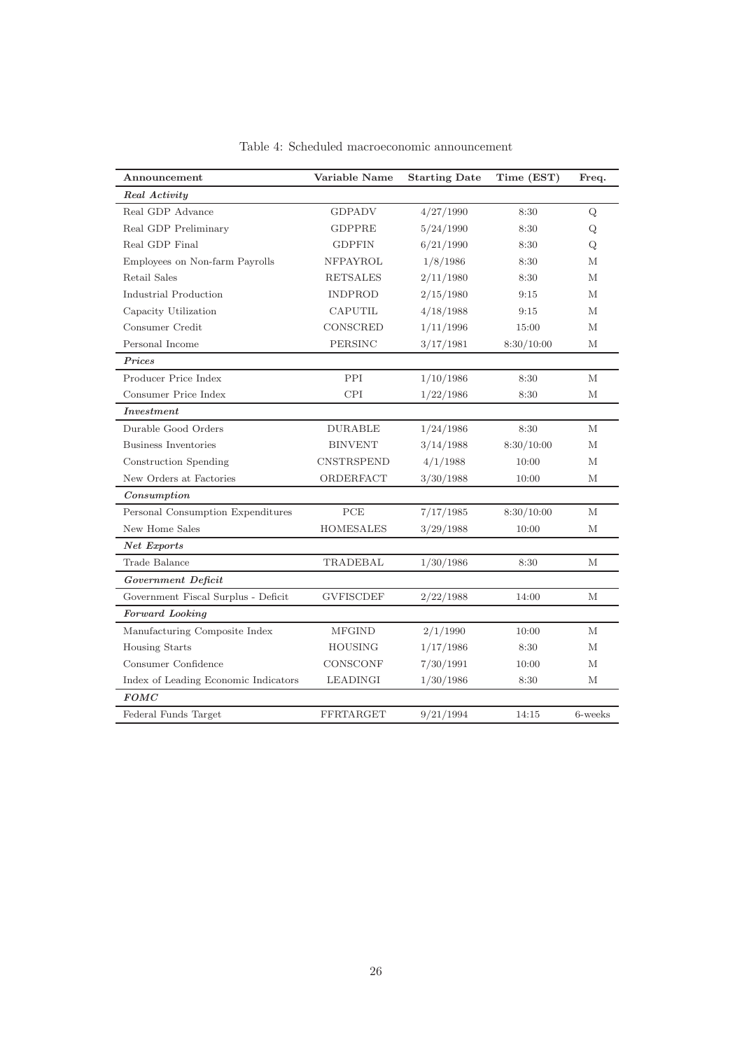| Announcement                         | Variable Name     | <b>Starting Date</b> | Time (EST) | Freq.   |
|--------------------------------------|-------------------|----------------------|------------|---------|
| Real Activity                        |                   |                      |            |         |
| Real GDP Advance                     | <b>GDPADV</b>     | 4/27/1990            | 8:30       | Q       |
| Real GDP Preliminary                 | <b>GDPPRE</b>     | 5/24/1990            | 8:30       | Q       |
| Real GDP Final                       | <b>GDPFIN</b>     | 6/21/1990            | 8:30       | Q       |
| Employees on Non-farm Payrolls       | NFPAYROL          | 1/8/1986             | 8:30       | М       |
| Retail Sales                         | <b>RETSALES</b>   | 2/11/1980            | 8:30       | М       |
| <b>Industrial Production</b>         | <b>INDPROD</b>    | 2/15/1980            | 9:15       | М       |
| Capacity Utilization                 | CAPUTIL           | 4/18/1988            | 9:15       | М       |
| Consumer Credit                      | CONSCRED          | 1/11/1996            | 15:00      | М       |
| Personal Income                      | PERSINC           | 3/17/1981            | 8:30/10:00 | М       |
| $\mathit{Prices}$                    |                   |                      |            |         |
| Producer Price Index                 | PPI               | 1/10/1986            | 8:30       | М       |
| Consumer Price Index                 | <b>CPI</b>        | 1/22/1986            | 8:30       | М       |
| Investment                           |                   |                      |            |         |
| Durable Good Orders                  | <b>DURABLE</b>    | 1/24/1986            | 8:30       | М       |
| Business Inventories                 | <b>BINVENT</b>    | 3/14/1988            | 8:30/10:00 | М       |
| Construction Spending                | <b>CNSTRSPEND</b> | 4/1/1988             | 10:00      | М       |
| New Orders at Factories              | ORDERFACT         | 3/30/1988            | 10:00      | М       |
| Consumption                          |                   |                      |            |         |
| Personal Consumption Expenditures    | PCE               | 7/17/1985            | 8:30/10:00 | М       |
| New Home Sales                       | <b>HOMESALES</b>  | 3/29/1988            | 10:00      | М       |
| Net Exports                          |                   |                      |            |         |
| Trade Balance                        | TRADEBAL          | 1/30/1986            | 8:30       | М       |
| Government Deficit                   |                   |                      |            |         |
| Government Fiscal Surplus - Deficit  | <b>GVFISCDEF</b>  | 2/22/1988            | 14:00      | М       |
| Forward Looking                      |                   |                      |            |         |
| Manufacturing Composite Index        | <b>MFGIND</b>     | 2/1/1990             | 10:00      | М       |
| Housing Starts                       | <b>HOUSING</b>    | 1/17/1986            | 8:30       | М       |
| Consumer Confidence                  | CONSCONF          | 7/30/1991            | 10:00      | М       |
| Index of Leading Economic Indicators | LEADINGI          | 1/30/1986            | 8:30       | М       |
| <b>FOMC</b>                          |                   |                      |            |         |
| Federal Funds Target                 | FFRTARGET         | 9/21/1994            | 14:15      | 6-weeks |

Table 4: Scheduled macroeconomic announcement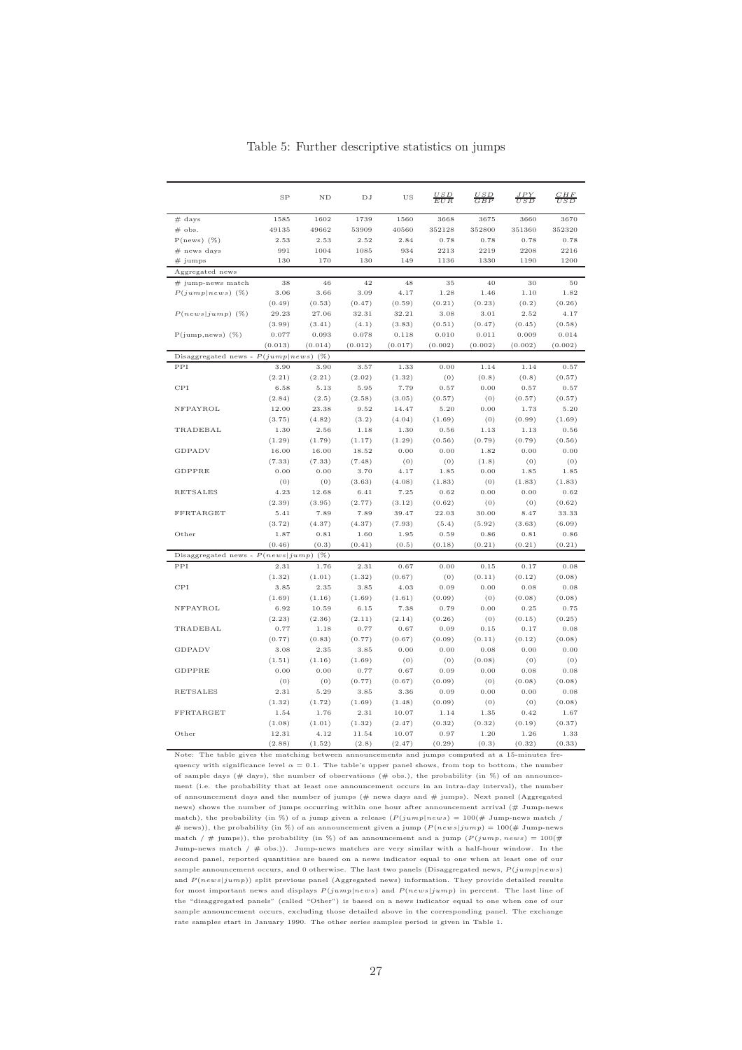| 1602<br>3675<br>1585<br>1739<br>1560<br>3668<br>3660<br>3670<br>$# \; \text{days}$<br>49135<br>49662<br>53909<br>40560<br>352128<br>352800<br>351360<br>352320<br>$#$ obs.<br>0.78<br>0.78<br>0.78<br>$P(news)$ (%)<br>2.53<br>2.53<br>2.52<br>2.84<br>0.78<br>1085<br>2213<br>2208<br>2216<br>991<br>1004<br>934<br>2219<br># news days<br>130<br>1330<br>1200<br>$# \text{ jumps}$<br>130<br>170<br>149<br>1136<br>1190<br>Aggregated news<br>38<br>46<br>42<br>48<br>35<br>40<br>30<br>50<br># jump-news match<br>3.66<br>3.09<br>1.28<br>3.06<br>4.17<br>1.46<br>1.10<br>1.82<br>$P(jump news)$ (%)<br>(0.49)<br>(0.53)<br>(0.47)<br>(0.21)<br>(0.23)<br>(0.2)<br>(0.26)<br>(0.59)<br>$P(newsljump)$ (%)<br>29.23<br>27.06<br>32.31<br>32.21<br>3.08<br>3.01<br>2.52<br>4.17<br>(0.47)<br>(0.45)<br>(0.58)<br>(3.99)<br>(3.41)<br>(4.1)<br>(3.83)<br>(0.51)<br>0.077<br>0.093<br>0.078<br>0.010<br>0.011<br>0.009<br>0.014<br>$P(jump, news)$ (%)<br>0.118<br>(0.002)<br>(0.013)<br>(0.014)<br>(0.012)<br>(0.017)<br>(0.002)<br>(0.002)<br>(0.002)<br>Disaggregated news - $P(jump news)$ (%)<br>3.57<br>1.33<br>1.14<br>PPI<br>3.90<br>3.90<br>0.00<br>1.14<br>0.57<br>(2.21)<br>(2.21)<br>(2.02)<br>(1.32)<br>(0)<br>(0.8)<br>(0.8)<br>(0.57)<br>CPI<br>5.13<br>5.95<br>7.79<br>0.57<br>0.00<br>0.57<br>6.58<br>0.57<br>(2.58)<br>(0.57)<br>(0)<br>(0.57)<br>(2.84)<br>(2.5)<br>(3.05)<br>(0.57)<br>NFPAYROL<br>23.38<br>9.52<br>5.20<br>0.00<br>1.73<br>5.20<br>12.00<br>14.47<br>(4.82)<br>(3.2)<br>(4.04)<br>(1.69)<br>(0)<br>(0.99)<br>(1.69)<br>(3.75)<br>TRADEBAL<br>1.30<br>2.56<br>1.18<br>1.30<br>0.56<br>1.13<br>1.13<br>0.56<br>(1.79)<br>(0.56)<br>(0.79)<br>(0.56)<br>(1.29)<br>(1.17)<br>(1.29)<br>(0.79)<br>GDPADV<br>18.52<br>0.00<br>0.00<br>16.00<br>16.00<br>0.00<br>0.00<br>1.82<br>(0)<br>(0)<br>(0)<br>(0)<br>(7.33)<br>(7.33)<br>(7.48)<br>(1.8)<br><b>GDPPRE</b><br>0.00<br>0.00<br>0.00<br>3.70<br>4.17<br>1.85<br>1.85<br>1.85<br>(0)<br>(3.63)<br>(4.08)<br>(0)<br>(1.83)<br>(1.83)<br>(0)<br>(1.83)<br><b>RETSALES</b><br>4.23<br>12.68<br>6.41<br>7.25<br>0.62<br>0.00<br>0.00<br>0.62<br>(2.39)<br>(3.95)<br>(0.62)<br>(0)<br>(0)<br>(0.62)<br>(2.77)<br>(3.12)<br>FFRTARGET<br>5.41<br>7.89<br>7.89<br>39.47<br>22.03<br>30.00<br>8.47<br>33.33<br>(3.72)<br>(4.37)<br>(4.37)<br>(3.63)<br>(6.09)<br>(7.93)<br>(5.4)<br>(5.92)<br>Other<br>1.87<br>0.81<br>1.60<br>1.95<br>0.59<br>0.86<br>0.81<br>0.86<br>(0.46)<br>(0.3)<br>(0.41)<br>(0.18)<br>(0.21)<br>(0.21)<br>(0.21)<br>(0.5)<br>Disaggregated news - $P(newsjump)$ (%)<br>PPI<br>1.76<br>2.31<br>2.31<br>0.67<br>0.00<br>0.15<br>0.17<br>0.08<br>(1.32)<br>(1.01)<br>(1.32)<br>(0.67)<br>(0)<br>(0.11)<br>(0.12)<br>(0.08)<br>CPI<br>2.35<br>3.85<br>0.00<br>3.85<br>4.03<br>0.09<br>0.08<br>0.08<br>(1.69)<br>(1.16)<br>(1.69)<br>(1.61)<br>(0.09)<br>(0)<br>(0.08)<br>(0.08)<br>NFPAYROL<br>0.00<br>0.25<br>6.92<br>10.59<br>6.15<br>7.38<br>0.79<br>0.75<br>(2.23)<br>(2.36)<br>(2.11)<br>(2.14)<br>(0.26)<br>(0)<br>(0.15)<br>(0.25)<br>TRADEBAL<br>0.77<br>1.18<br>0.77<br>0.67<br>0.09<br>0.15<br>0.17<br>0.08<br>(0.77)<br>(0.83)<br>(0.77)<br>(0.67)<br>(0.09)<br>(0.11)<br>(0.12)<br>(0.08)<br>GDPADV<br>2.35<br>0.00<br>0.00<br>0.00<br>0.00<br>3.08<br>3.85<br>0.08<br>(1.69)<br>(0)<br>(0)<br>(0.08)<br>(0)<br>(1.51)<br>(1.16)<br>(0)<br><b>GDPPRE</b><br>0.00<br>0.67<br>0.08<br>0.00<br>0.77<br>0.09<br>0.00<br>0.08<br>(0.67)<br>(0.08)<br>(0)<br>(0)<br>(0.77)<br>(0.09)<br>(0)<br>(0.08)<br><b>RETSALES</b><br>5.29<br>0.00<br>0.00<br>2.31<br>3.85<br>3.36<br>0.09<br>0.08<br>(1.72)<br>(1.69)<br>(1.32)<br>(1.48)<br>(0.09)<br>(0)<br>(0)<br>(0.08)<br>FFRTARGET<br>1.54<br>1.76<br>2.31<br>10.07<br>1.14<br>1.35<br>0.42<br>1.67<br>(1.08)<br>(1.01)<br>(1.32)<br>(0.32)<br>(0.32)<br>(0.19)<br>(0.37)<br>(2.47)<br>Other<br>12.31<br>4.12<br>11.54<br>10.07<br>0.97<br>1.20<br>1.26<br>1.33<br>(0.29)<br>(0.33)<br>(2.88)<br>(1.52)<br>(2.8)<br>(2.47)<br>(0.3)<br>(0.32) | SP | ND | DJ | US | $\frac{USD}{EUR}$ | $\frac{USD}{GBP}$ | $\frac{JPY}{USD}$ | $\frac{CHF}{USD}$ |
|-----------------------------------------------------------------------------------------------------------------------------------------------------------------------------------------------------------------------------------------------------------------------------------------------------------------------------------------------------------------------------------------------------------------------------------------------------------------------------------------------------------------------------------------------------------------------------------------------------------------------------------------------------------------------------------------------------------------------------------------------------------------------------------------------------------------------------------------------------------------------------------------------------------------------------------------------------------------------------------------------------------------------------------------------------------------------------------------------------------------------------------------------------------------------------------------------------------------------------------------------------------------------------------------------------------------------------------------------------------------------------------------------------------------------------------------------------------------------------------------------------------------------------------------------------------------------------------------------------------------------------------------------------------------------------------------------------------------------------------------------------------------------------------------------------------------------------------------------------------------------------------------------------------------------------------------------------------------------------------------------------------------------------------------------------------------------------------------------------------------------------------------------------------------------------------------------------------------------------------------------------------------------------------------------------------------------------------------------------------------------------------------------------------------------------------------------------------------------------------------------------------------------------------------------------------------------------------------------------------------------------------------------------------------------------------------------------------------------------------------------------------------------------------------------------------------------------------------------------------------------------------------------------------------------------------------------------------------------------------------------------------------------------------------------------------------------------------------------------------------------------------------------------------------------------------------------------------------------------------------------------------------------------------------------------------------------------------------------------------------------------------------------------------------------------------------------------------------------------------------------------------------------------------------------------------------------------------------------------------------------------------------------------------------------------------------------------------------------------------------------------------------------------------------------------------------------------------------------------------------------------------------------------------------------------------------------------------------------------------------------|----|----|----|----|-------------------|-------------------|-------------------|-------------------|
|                                                                                                                                                                                                                                                                                                                                                                                                                                                                                                                                                                                                                                                                                                                                                                                                                                                                                                                                                                                                                                                                                                                                                                                                                                                                                                                                                                                                                                                                                                                                                                                                                                                                                                                                                                                                                                                                                                                                                                                                                                                                                                                                                                                                                                                                                                                                                                                                                                                                                                                                                                                                                                                                                                                                                                                                                                                                                                                                                                                                                                                                                                                                                                                                                                                                                                                                                                                                                                                                                                                                                                                                                                                                                                                                                                                                                                                                                                                                                                                               |    |    |    |    |                   |                   |                   |                   |
|                                                                                                                                                                                                                                                                                                                                                                                                                                                                                                                                                                                                                                                                                                                                                                                                                                                                                                                                                                                                                                                                                                                                                                                                                                                                                                                                                                                                                                                                                                                                                                                                                                                                                                                                                                                                                                                                                                                                                                                                                                                                                                                                                                                                                                                                                                                                                                                                                                                                                                                                                                                                                                                                                                                                                                                                                                                                                                                                                                                                                                                                                                                                                                                                                                                                                                                                                                                                                                                                                                                                                                                                                                                                                                                                                                                                                                                                                                                                                                                               |    |    |    |    |                   |                   |                   |                   |
|                                                                                                                                                                                                                                                                                                                                                                                                                                                                                                                                                                                                                                                                                                                                                                                                                                                                                                                                                                                                                                                                                                                                                                                                                                                                                                                                                                                                                                                                                                                                                                                                                                                                                                                                                                                                                                                                                                                                                                                                                                                                                                                                                                                                                                                                                                                                                                                                                                                                                                                                                                                                                                                                                                                                                                                                                                                                                                                                                                                                                                                                                                                                                                                                                                                                                                                                                                                                                                                                                                                                                                                                                                                                                                                                                                                                                                                                                                                                                                                               |    |    |    |    |                   |                   |                   |                   |
|                                                                                                                                                                                                                                                                                                                                                                                                                                                                                                                                                                                                                                                                                                                                                                                                                                                                                                                                                                                                                                                                                                                                                                                                                                                                                                                                                                                                                                                                                                                                                                                                                                                                                                                                                                                                                                                                                                                                                                                                                                                                                                                                                                                                                                                                                                                                                                                                                                                                                                                                                                                                                                                                                                                                                                                                                                                                                                                                                                                                                                                                                                                                                                                                                                                                                                                                                                                                                                                                                                                                                                                                                                                                                                                                                                                                                                                                                                                                                                                               |    |    |    |    |                   |                   |                   |                   |
|                                                                                                                                                                                                                                                                                                                                                                                                                                                                                                                                                                                                                                                                                                                                                                                                                                                                                                                                                                                                                                                                                                                                                                                                                                                                                                                                                                                                                                                                                                                                                                                                                                                                                                                                                                                                                                                                                                                                                                                                                                                                                                                                                                                                                                                                                                                                                                                                                                                                                                                                                                                                                                                                                                                                                                                                                                                                                                                                                                                                                                                                                                                                                                                                                                                                                                                                                                                                                                                                                                                                                                                                                                                                                                                                                                                                                                                                                                                                                                                               |    |    |    |    |                   |                   |                   |                   |
|                                                                                                                                                                                                                                                                                                                                                                                                                                                                                                                                                                                                                                                                                                                                                                                                                                                                                                                                                                                                                                                                                                                                                                                                                                                                                                                                                                                                                                                                                                                                                                                                                                                                                                                                                                                                                                                                                                                                                                                                                                                                                                                                                                                                                                                                                                                                                                                                                                                                                                                                                                                                                                                                                                                                                                                                                                                                                                                                                                                                                                                                                                                                                                                                                                                                                                                                                                                                                                                                                                                                                                                                                                                                                                                                                                                                                                                                                                                                                                                               |    |    |    |    |                   |                   |                   |                   |
|                                                                                                                                                                                                                                                                                                                                                                                                                                                                                                                                                                                                                                                                                                                                                                                                                                                                                                                                                                                                                                                                                                                                                                                                                                                                                                                                                                                                                                                                                                                                                                                                                                                                                                                                                                                                                                                                                                                                                                                                                                                                                                                                                                                                                                                                                                                                                                                                                                                                                                                                                                                                                                                                                                                                                                                                                                                                                                                                                                                                                                                                                                                                                                                                                                                                                                                                                                                                                                                                                                                                                                                                                                                                                                                                                                                                                                                                                                                                                                                               |    |    |    |    |                   |                   |                   |                   |
|                                                                                                                                                                                                                                                                                                                                                                                                                                                                                                                                                                                                                                                                                                                                                                                                                                                                                                                                                                                                                                                                                                                                                                                                                                                                                                                                                                                                                                                                                                                                                                                                                                                                                                                                                                                                                                                                                                                                                                                                                                                                                                                                                                                                                                                                                                                                                                                                                                                                                                                                                                                                                                                                                                                                                                                                                                                                                                                                                                                                                                                                                                                                                                                                                                                                                                                                                                                                                                                                                                                                                                                                                                                                                                                                                                                                                                                                                                                                                                                               |    |    |    |    |                   |                   |                   |                   |
|                                                                                                                                                                                                                                                                                                                                                                                                                                                                                                                                                                                                                                                                                                                                                                                                                                                                                                                                                                                                                                                                                                                                                                                                                                                                                                                                                                                                                                                                                                                                                                                                                                                                                                                                                                                                                                                                                                                                                                                                                                                                                                                                                                                                                                                                                                                                                                                                                                                                                                                                                                                                                                                                                                                                                                                                                                                                                                                                                                                                                                                                                                                                                                                                                                                                                                                                                                                                                                                                                                                                                                                                                                                                                                                                                                                                                                                                                                                                                                                               |    |    |    |    |                   |                   |                   |                   |
|                                                                                                                                                                                                                                                                                                                                                                                                                                                                                                                                                                                                                                                                                                                                                                                                                                                                                                                                                                                                                                                                                                                                                                                                                                                                                                                                                                                                                                                                                                                                                                                                                                                                                                                                                                                                                                                                                                                                                                                                                                                                                                                                                                                                                                                                                                                                                                                                                                                                                                                                                                                                                                                                                                                                                                                                                                                                                                                                                                                                                                                                                                                                                                                                                                                                                                                                                                                                                                                                                                                                                                                                                                                                                                                                                                                                                                                                                                                                                                                               |    |    |    |    |                   |                   |                   |                   |
|                                                                                                                                                                                                                                                                                                                                                                                                                                                                                                                                                                                                                                                                                                                                                                                                                                                                                                                                                                                                                                                                                                                                                                                                                                                                                                                                                                                                                                                                                                                                                                                                                                                                                                                                                                                                                                                                                                                                                                                                                                                                                                                                                                                                                                                                                                                                                                                                                                                                                                                                                                                                                                                                                                                                                                                                                                                                                                                                                                                                                                                                                                                                                                                                                                                                                                                                                                                                                                                                                                                                                                                                                                                                                                                                                                                                                                                                                                                                                                                               |    |    |    |    |                   |                   |                   |                   |
|                                                                                                                                                                                                                                                                                                                                                                                                                                                                                                                                                                                                                                                                                                                                                                                                                                                                                                                                                                                                                                                                                                                                                                                                                                                                                                                                                                                                                                                                                                                                                                                                                                                                                                                                                                                                                                                                                                                                                                                                                                                                                                                                                                                                                                                                                                                                                                                                                                                                                                                                                                                                                                                                                                                                                                                                                                                                                                                                                                                                                                                                                                                                                                                                                                                                                                                                                                                                                                                                                                                                                                                                                                                                                                                                                                                                                                                                                                                                                                                               |    |    |    |    |                   |                   |                   |                   |
|                                                                                                                                                                                                                                                                                                                                                                                                                                                                                                                                                                                                                                                                                                                                                                                                                                                                                                                                                                                                                                                                                                                                                                                                                                                                                                                                                                                                                                                                                                                                                                                                                                                                                                                                                                                                                                                                                                                                                                                                                                                                                                                                                                                                                                                                                                                                                                                                                                                                                                                                                                                                                                                                                                                                                                                                                                                                                                                                                                                                                                                                                                                                                                                                                                                                                                                                                                                                                                                                                                                                                                                                                                                                                                                                                                                                                                                                                                                                                                                               |    |    |    |    |                   |                   |                   |                   |
|                                                                                                                                                                                                                                                                                                                                                                                                                                                                                                                                                                                                                                                                                                                                                                                                                                                                                                                                                                                                                                                                                                                                                                                                                                                                                                                                                                                                                                                                                                                                                                                                                                                                                                                                                                                                                                                                                                                                                                                                                                                                                                                                                                                                                                                                                                                                                                                                                                                                                                                                                                                                                                                                                                                                                                                                                                                                                                                                                                                                                                                                                                                                                                                                                                                                                                                                                                                                                                                                                                                                                                                                                                                                                                                                                                                                                                                                                                                                                                                               |    |    |    |    |                   |                   |                   |                   |
|                                                                                                                                                                                                                                                                                                                                                                                                                                                                                                                                                                                                                                                                                                                                                                                                                                                                                                                                                                                                                                                                                                                                                                                                                                                                                                                                                                                                                                                                                                                                                                                                                                                                                                                                                                                                                                                                                                                                                                                                                                                                                                                                                                                                                                                                                                                                                                                                                                                                                                                                                                                                                                                                                                                                                                                                                                                                                                                                                                                                                                                                                                                                                                                                                                                                                                                                                                                                                                                                                                                                                                                                                                                                                                                                                                                                                                                                                                                                                                                               |    |    |    |    |                   |                   |                   |                   |
|                                                                                                                                                                                                                                                                                                                                                                                                                                                                                                                                                                                                                                                                                                                                                                                                                                                                                                                                                                                                                                                                                                                                                                                                                                                                                                                                                                                                                                                                                                                                                                                                                                                                                                                                                                                                                                                                                                                                                                                                                                                                                                                                                                                                                                                                                                                                                                                                                                                                                                                                                                                                                                                                                                                                                                                                                                                                                                                                                                                                                                                                                                                                                                                                                                                                                                                                                                                                                                                                                                                                                                                                                                                                                                                                                                                                                                                                                                                                                                                               |    |    |    |    |                   |                   |                   |                   |
|                                                                                                                                                                                                                                                                                                                                                                                                                                                                                                                                                                                                                                                                                                                                                                                                                                                                                                                                                                                                                                                                                                                                                                                                                                                                                                                                                                                                                                                                                                                                                                                                                                                                                                                                                                                                                                                                                                                                                                                                                                                                                                                                                                                                                                                                                                                                                                                                                                                                                                                                                                                                                                                                                                                                                                                                                                                                                                                                                                                                                                                                                                                                                                                                                                                                                                                                                                                                                                                                                                                                                                                                                                                                                                                                                                                                                                                                                                                                                                                               |    |    |    |    |                   |                   |                   |                   |
|                                                                                                                                                                                                                                                                                                                                                                                                                                                                                                                                                                                                                                                                                                                                                                                                                                                                                                                                                                                                                                                                                                                                                                                                                                                                                                                                                                                                                                                                                                                                                                                                                                                                                                                                                                                                                                                                                                                                                                                                                                                                                                                                                                                                                                                                                                                                                                                                                                                                                                                                                                                                                                                                                                                                                                                                                                                                                                                                                                                                                                                                                                                                                                                                                                                                                                                                                                                                                                                                                                                                                                                                                                                                                                                                                                                                                                                                                                                                                                                               |    |    |    |    |                   |                   |                   |                   |
|                                                                                                                                                                                                                                                                                                                                                                                                                                                                                                                                                                                                                                                                                                                                                                                                                                                                                                                                                                                                                                                                                                                                                                                                                                                                                                                                                                                                                                                                                                                                                                                                                                                                                                                                                                                                                                                                                                                                                                                                                                                                                                                                                                                                                                                                                                                                                                                                                                                                                                                                                                                                                                                                                                                                                                                                                                                                                                                                                                                                                                                                                                                                                                                                                                                                                                                                                                                                                                                                                                                                                                                                                                                                                                                                                                                                                                                                                                                                                                                               |    |    |    |    |                   |                   |                   |                   |
|                                                                                                                                                                                                                                                                                                                                                                                                                                                                                                                                                                                                                                                                                                                                                                                                                                                                                                                                                                                                                                                                                                                                                                                                                                                                                                                                                                                                                                                                                                                                                                                                                                                                                                                                                                                                                                                                                                                                                                                                                                                                                                                                                                                                                                                                                                                                                                                                                                                                                                                                                                                                                                                                                                                                                                                                                                                                                                                                                                                                                                                                                                                                                                                                                                                                                                                                                                                                                                                                                                                                                                                                                                                                                                                                                                                                                                                                                                                                                                                               |    |    |    |    |                   |                   |                   |                   |
|                                                                                                                                                                                                                                                                                                                                                                                                                                                                                                                                                                                                                                                                                                                                                                                                                                                                                                                                                                                                                                                                                                                                                                                                                                                                                                                                                                                                                                                                                                                                                                                                                                                                                                                                                                                                                                                                                                                                                                                                                                                                                                                                                                                                                                                                                                                                                                                                                                                                                                                                                                                                                                                                                                                                                                                                                                                                                                                                                                                                                                                                                                                                                                                                                                                                                                                                                                                                                                                                                                                                                                                                                                                                                                                                                                                                                                                                                                                                                                                               |    |    |    |    |                   |                   |                   |                   |
|                                                                                                                                                                                                                                                                                                                                                                                                                                                                                                                                                                                                                                                                                                                                                                                                                                                                                                                                                                                                                                                                                                                                                                                                                                                                                                                                                                                                                                                                                                                                                                                                                                                                                                                                                                                                                                                                                                                                                                                                                                                                                                                                                                                                                                                                                                                                                                                                                                                                                                                                                                                                                                                                                                                                                                                                                                                                                                                                                                                                                                                                                                                                                                                                                                                                                                                                                                                                                                                                                                                                                                                                                                                                                                                                                                                                                                                                                                                                                                                               |    |    |    |    |                   |                   |                   |                   |
|                                                                                                                                                                                                                                                                                                                                                                                                                                                                                                                                                                                                                                                                                                                                                                                                                                                                                                                                                                                                                                                                                                                                                                                                                                                                                                                                                                                                                                                                                                                                                                                                                                                                                                                                                                                                                                                                                                                                                                                                                                                                                                                                                                                                                                                                                                                                                                                                                                                                                                                                                                                                                                                                                                                                                                                                                                                                                                                                                                                                                                                                                                                                                                                                                                                                                                                                                                                                                                                                                                                                                                                                                                                                                                                                                                                                                                                                                                                                                                                               |    |    |    |    |                   |                   |                   |                   |
|                                                                                                                                                                                                                                                                                                                                                                                                                                                                                                                                                                                                                                                                                                                                                                                                                                                                                                                                                                                                                                                                                                                                                                                                                                                                                                                                                                                                                                                                                                                                                                                                                                                                                                                                                                                                                                                                                                                                                                                                                                                                                                                                                                                                                                                                                                                                                                                                                                                                                                                                                                                                                                                                                                                                                                                                                                                                                                                                                                                                                                                                                                                                                                                                                                                                                                                                                                                                                                                                                                                                                                                                                                                                                                                                                                                                                                                                                                                                                                                               |    |    |    |    |                   |                   |                   |                   |
|                                                                                                                                                                                                                                                                                                                                                                                                                                                                                                                                                                                                                                                                                                                                                                                                                                                                                                                                                                                                                                                                                                                                                                                                                                                                                                                                                                                                                                                                                                                                                                                                                                                                                                                                                                                                                                                                                                                                                                                                                                                                                                                                                                                                                                                                                                                                                                                                                                                                                                                                                                                                                                                                                                                                                                                                                                                                                                                                                                                                                                                                                                                                                                                                                                                                                                                                                                                                                                                                                                                                                                                                                                                                                                                                                                                                                                                                                                                                                                                               |    |    |    |    |                   |                   |                   |                   |
|                                                                                                                                                                                                                                                                                                                                                                                                                                                                                                                                                                                                                                                                                                                                                                                                                                                                                                                                                                                                                                                                                                                                                                                                                                                                                                                                                                                                                                                                                                                                                                                                                                                                                                                                                                                                                                                                                                                                                                                                                                                                                                                                                                                                                                                                                                                                                                                                                                                                                                                                                                                                                                                                                                                                                                                                                                                                                                                                                                                                                                                                                                                                                                                                                                                                                                                                                                                                                                                                                                                                                                                                                                                                                                                                                                                                                                                                                                                                                                                               |    |    |    |    |                   |                   |                   |                   |
|                                                                                                                                                                                                                                                                                                                                                                                                                                                                                                                                                                                                                                                                                                                                                                                                                                                                                                                                                                                                                                                                                                                                                                                                                                                                                                                                                                                                                                                                                                                                                                                                                                                                                                                                                                                                                                                                                                                                                                                                                                                                                                                                                                                                                                                                                                                                                                                                                                                                                                                                                                                                                                                                                                                                                                                                                                                                                                                                                                                                                                                                                                                                                                                                                                                                                                                                                                                                                                                                                                                                                                                                                                                                                                                                                                                                                                                                                                                                                                                               |    |    |    |    |                   |                   |                   |                   |
|                                                                                                                                                                                                                                                                                                                                                                                                                                                                                                                                                                                                                                                                                                                                                                                                                                                                                                                                                                                                                                                                                                                                                                                                                                                                                                                                                                                                                                                                                                                                                                                                                                                                                                                                                                                                                                                                                                                                                                                                                                                                                                                                                                                                                                                                                                                                                                                                                                                                                                                                                                                                                                                                                                                                                                                                                                                                                                                                                                                                                                                                                                                                                                                                                                                                                                                                                                                                                                                                                                                                                                                                                                                                                                                                                                                                                                                                                                                                                                                               |    |    |    |    |                   |                   |                   |                   |
|                                                                                                                                                                                                                                                                                                                                                                                                                                                                                                                                                                                                                                                                                                                                                                                                                                                                                                                                                                                                                                                                                                                                                                                                                                                                                                                                                                                                                                                                                                                                                                                                                                                                                                                                                                                                                                                                                                                                                                                                                                                                                                                                                                                                                                                                                                                                                                                                                                                                                                                                                                                                                                                                                                                                                                                                                                                                                                                                                                                                                                                                                                                                                                                                                                                                                                                                                                                                                                                                                                                                                                                                                                                                                                                                                                                                                                                                                                                                                                                               |    |    |    |    |                   |                   |                   |                   |
|                                                                                                                                                                                                                                                                                                                                                                                                                                                                                                                                                                                                                                                                                                                                                                                                                                                                                                                                                                                                                                                                                                                                                                                                                                                                                                                                                                                                                                                                                                                                                                                                                                                                                                                                                                                                                                                                                                                                                                                                                                                                                                                                                                                                                                                                                                                                                                                                                                                                                                                                                                                                                                                                                                                                                                                                                                                                                                                                                                                                                                                                                                                                                                                                                                                                                                                                                                                                                                                                                                                                                                                                                                                                                                                                                                                                                                                                                                                                                                                               |    |    |    |    |                   |                   |                   |                   |
|                                                                                                                                                                                                                                                                                                                                                                                                                                                                                                                                                                                                                                                                                                                                                                                                                                                                                                                                                                                                                                                                                                                                                                                                                                                                                                                                                                                                                                                                                                                                                                                                                                                                                                                                                                                                                                                                                                                                                                                                                                                                                                                                                                                                                                                                                                                                                                                                                                                                                                                                                                                                                                                                                                                                                                                                                                                                                                                                                                                                                                                                                                                                                                                                                                                                                                                                                                                                                                                                                                                                                                                                                                                                                                                                                                                                                                                                                                                                                                                               |    |    |    |    |                   |                   |                   |                   |
|                                                                                                                                                                                                                                                                                                                                                                                                                                                                                                                                                                                                                                                                                                                                                                                                                                                                                                                                                                                                                                                                                                                                                                                                                                                                                                                                                                                                                                                                                                                                                                                                                                                                                                                                                                                                                                                                                                                                                                                                                                                                                                                                                                                                                                                                                                                                                                                                                                                                                                                                                                                                                                                                                                                                                                                                                                                                                                                                                                                                                                                                                                                                                                                                                                                                                                                                                                                                                                                                                                                                                                                                                                                                                                                                                                                                                                                                                                                                                                                               |    |    |    |    |                   |                   |                   |                   |
|                                                                                                                                                                                                                                                                                                                                                                                                                                                                                                                                                                                                                                                                                                                                                                                                                                                                                                                                                                                                                                                                                                                                                                                                                                                                                                                                                                                                                                                                                                                                                                                                                                                                                                                                                                                                                                                                                                                                                                                                                                                                                                                                                                                                                                                                                                                                                                                                                                                                                                                                                                                                                                                                                                                                                                                                                                                                                                                                                                                                                                                                                                                                                                                                                                                                                                                                                                                                                                                                                                                                                                                                                                                                                                                                                                                                                                                                                                                                                                                               |    |    |    |    |                   |                   |                   |                   |
|                                                                                                                                                                                                                                                                                                                                                                                                                                                                                                                                                                                                                                                                                                                                                                                                                                                                                                                                                                                                                                                                                                                                                                                                                                                                                                                                                                                                                                                                                                                                                                                                                                                                                                                                                                                                                                                                                                                                                                                                                                                                                                                                                                                                                                                                                                                                                                                                                                                                                                                                                                                                                                                                                                                                                                                                                                                                                                                                                                                                                                                                                                                                                                                                                                                                                                                                                                                                                                                                                                                                                                                                                                                                                                                                                                                                                                                                                                                                                                                               |    |    |    |    |                   |                   |                   |                   |
|                                                                                                                                                                                                                                                                                                                                                                                                                                                                                                                                                                                                                                                                                                                                                                                                                                                                                                                                                                                                                                                                                                                                                                                                                                                                                                                                                                                                                                                                                                                                                                                                                                                                                                                                                                                                                                                                                                                                                                                                                                                                                                                                                                                                                                                                                                                                                                                                                                                                                                                                                                                                                                                                                                                                                                                                                                                                                                                                                                                                                                                                                                                                                                                                                                                                                                                                                                                                                                                                                                                                                                                                                                                                                                                                                                                                                                                                                                                                                                                               |    |    |    |    |                   |                   |                   |                   |
|                                                                                                                                                                                                                                                                                                                                                                                                                                                                                                                                                                                                                                                                                                                                                                                                                                                                                                                                                                                                                                                                                                                                                                                                                                                                                                                                                                                                                                                                                                                                                                                                                                                                                                                                                                                                                                                                                                                                                                                                                                                                                                                                                                                                                                                                                                                                                                                                                                                                                                                                                                                                                                                                                                                                                                                                                                                                                                                                                                                                                                                                                                                                                                                                                                                                                                                                                                                                                                                                                                                                                                                                                                                                                                                                                                                                                                                                                                                                                                                               |    |    |    |    |                   |                   |                   |                   |
|                                                                                                                                                                                                                                                                                                                                                                                                                                                                                                                                                                                                                                                                                                                                                                                                                                                                                                                                                                                                                                                                                                                                                                                                                                                                                                                                                                                                                                                                                                                                                                                                                                                                                                                                                                                                                                                                                                                                                                                                                                                                                                                                                                                                                                                                                                                                                                                                                                                                                                                                                                                                                                                                                                                                                                                                                                                                                                                                                                                                                                                                                                                                                                                                                                                                                                                                                                                                                                                                                                                                                                                                                                                                                                                                                                                                                                                                                                                                                                                               |    |    |    |    |                   |                   |                   |                   |
|                                                                                                                                                                                                                                                                                                                                                                                                                                                                                                                                                                                                                                                                                                                                                                                                                                                                                                                                                                                                                                                                                                                                                                                                                                                                                                                                                                                                                                                                                                                                                                                                                                                                                                                                                                                                                                                                                                                                                                                                                                                                                                                                                                                                                                                                                                                                                                                                                                                                                                                                                                                                                                                                                                                                                                                                                                                                                                                                                                                                                                                                                                                                                                                                                                                                                                                                                                                                                                                                                                                                                                                                                                                                                                                                                                                                                                                                                                                                                                                               |    |    |    |    |                   |                   |                   |                   |
|                                                                                                                                                                                                                                                                                                                                                                                                                                                                                                                                                                                                                                                                                                                                                                                                                                                                                                                                                                                                                                                                                                                                                                                                                                                                                                                                                                                                                                                                                                                                                                                                                                                                                                                                                                                                                                                                                                                                                                                                                                                                                                                                                                                                                                                                                                                                                                                                                                                                                                                                                                                                                                                                                                                                                                                                                                                                                                                                                                                                                                                                                                                                                                                                                                                                                                                                                                                                                                                                                                                                                                                                                                                                                                                                                                                                                                                                                                                                                                                               |    |    |    |    |                   |                   |                   |                   |
|                                                                                                                                                                                                                                                                                                                                                                                                                                                                                                                                                                                                                                                                                                                                                                                                                                                                                                                                                                                                                                                                                                                                                                                                                                                                                                                                                                                                                                                                                                                                                                                                                                                                                                                                                                                                                                                                                                                                                                                                                                                                                                                                                                                                                                                                                                                                                                                                                                                                                                                                                                                                                                                                                                                                                                                                                                                                                                                                                                                                                                                                                                                                                                                                                                                                                                                                                                                                                                                                                                                                                                                                                                                                                                                                                                                                                                                                                                                                                                                               |    |    |    |    |                   |                   |                   |                   |
|                                                                                                                                                                                                                                                                                                                                                                                                                                                                                                                                                                                                                                                                                                                                                                                                                                                                                                                                                                                                                                                                                                                                                                                                                                                                                                                                                                                                                                                                                                                                                                                                                                                                                                                                                                                                                                                                                                                                                                                                                                                                                                                                                                                                                                                                                                                                                                                                                                                                                                                                                                                                                                                                                                                                                                                                                                                                                                                                                                                                                                                                                                                                                                                                                                                                                                                                                                                                                                                                                                                                                                                                                                                                                                                                                                                                                                                                                                                                                                                               |    |    |    |    |                   |                   |                   |                   |
|                                                                                                                                                                                                                                                                                                                                                                                                                                                                                                                                                                                                                                                                                                                                                                                                                                                                                                                                                                                                                                                                                                                                                                                                                                                                                                                                                                                                                                                                                                                                                                                                                                                                                                                                                                                                                                                                                                                                                                                                                                                                                                                                                                                                                                                                                                                                                                                                                                                                                                                                                                                                                                                                                                                                                                                                                                                                                                                                                                                                                                                                                                                                                                                                                                                                                                                                                                                                                                                                                                                                                                                                                                                                                                                                                                                                                                                                                                                                                                                               |    |    |    |    |                   |                   |                   |                   |
|                                                                                                                                                                                                                                                                                                                                                                                                                                                                                                                                                                                                                                                                                                                                                                                                                                                                                                                                                                                                                                                                                                                                                                                                                                                                                                                                                                                                                                                                                                                                                                                                                                                                                                                                                                                                                                                                                                                                                                                                                                                                                                                                                                                                                                                                                                                                                                                                                                                                                                                                                                                                                                                                                                                                                                                                                                                                                                                                                                                                                                                                                                                                                                                                                                                                                                                                                                                                                                                                                                                                                                                                                                                                                                                                                                                                                                                                                                                                                                                               |    |    |    |    |                   |                   |                   |                   |
|                                                                                                                                                                                                                                                                                                                                                                                                                                                                                                                                                                                                                                                                                                                                                                                                                                                                                                                                                                                                                                                                                                                                                                                                                                                                                                                                                                                                                                                                                                                                                                                                                                                                                                                                                                                                                                                                                                                                                                                                                                                                                                                                                                                                                                                                                                                                                                                                                                                                                                                                                                                                                                                                                                                                                                                                                                                                                                                                                                                                                                                                                                                                                                                                                                                                                                                                                                                                                                                                                                                                                                                                                                                                                                                                                                                                                                                                                                                                                                                               |    |    |    |    |                   |                   |                   |                   |
|                                                                                                                                                                                                                                                                                                                                                                                                                                                                                                                                                                                                                                                                                                                                                                                                                                                                                                                                                                                                                                                                                                                                                                                                                                                                                                                                                                                                                                                                                                                                                                                                                                                                                                                                                                                                                                                                                                                                                                                                                                                                                                                                                                                                                                                                                                                                                                                                                                                                                                                                                                                                                                                                                                                                                                                                                                                                                                                                                                                                                                                                                                                                                                                                                                                                                                                                                                                                                                                                                                                                                                                                                                                                                                                                                                                                                                                                                                                                                                                               |    |    |    |    |                   |                   |                   |                   |
|                                                                                                                                                                                                                                                                                                                                                                                                                                                                                                                                                                                                                                                                                                                                                                                                                                                                                                                                                                                                                                                                                                                                                                                                                                                                                                                                                                                                                                                                                                                                                                                                                                                                                                                                                                                                                                                                                                                                                                                                                                                                                                                                                                                                                                                                                                                                                                                                                                                                                                                                                                                                                                                                                                                                                                                                                                                                                                                                                                                                                                                                                                                                                                                                                                                                                                                                                                                                                                                                                                                                                                                                                                                                                                                                                                                                                                                                                                                                                                                               |    |    |    |    |                   |                   |                   |                   |
|                                                                                                                                                                                                                                                                                                                                                                                                                                                                                                                                                                                                                                                                                                                                                                                                                                                                                                                                                                                                                                                                                                                                                                                                                                                                                                                                                                                                                                                                                                                                                                                                                                                                                                                                                                                                                                                                                                                                                                                                                                                                                                                                                                                                                                                                                                                                                                                                                                                                                                                                                                                                                                                                                                                                                                                                                                                                                                                                                                                                                                                                                                                                                                                                                                                                                                                                                                                                                                                                                                                                                                                                                                                                                                                                                                                                                                                                                                                                                                                               |    |    |    |    |                   |                   |                   |                   |
|                                                                                                                                                                                                                                                                                                                                                                                                                                                                                                                                                                                                                                                                                                                                                                                                                                                                                                                                                                                                                                                                                                                                                                                                                                                                                                                                                                                                                                                                                                                                                                                                                                                                                                                                                                                                                                                                                                                                                                                                                                                                                                                                                                                                                                                                                                                                                                                                                                                                                                                                                                                                                                                                                                                                                                                                                                                                                                                                                                                                                                                                                                                                                                                                                                                                                                                                                                                                                                                                                                                                                                                                                                                                                                                                                                                                                                                                                                                                                                                               |    |    |    |    |                   |                   |                   |                   |
|                                                                                                                                                                                                                                                                                                                                                                                                                                                                                                                                                                                                                                                                                                                                                                                                                                                                                                                                                                                                                                                                                                                                                                                                                                                                                                                                                                                                                                                                                                                                                                                                                                                                                                                                                                                                                                                                                                                                                                                                                                                                                                                                                                                                                                                                                                                                                                                                                                                                                                                                                                                                                                                                                                                                                                                                                                                                                                                                                                                                                                                                                                                                                                                                                                                                                                                                                                                                                                                                                                                                                                                                                                                                                                                                                                                                                                                                                                                                                                                               |    |    |    |    |                   |                   |                   |                   |
|                                                                                                                                                                                                                                                                                                                                                                                                                                                                                                                                                                                                                                                                                                                                                                                                                                                                                                                                                                                                                                                                                                                                                                                                                                                                                                                                                                                                                                                                                                                                                                                                                                                                                                                                                                                                                                                                                                                                                                                                                                                                                                                                                                                                                                                                                                                                                                                                                                                                                                                                                                                                                                                                                                                                                                                                                                                                                                                                                                                                                                                                                                                                                                                                                                                                                                                                                                                                                                                                                                                                                                                                                                                                                                                                                                                                                                                                                                                                                                                               |    |    |    |    |                   |                   |                   |                   |

Table 5: Further descriptive statistics on jumps

Note: The table gives the matching between announcements and jumps computed at a 15-minutes frequency with significance level  $\alpha = 0.1$ . The table's upper panel shows, from top to bottom, the number of sample days ( $\#$  days), the number of observations ( $\#$  obs.), the probability (in  $\%$ ) of an announcement (i.e. the probability that at least one announcement occurs in an intra-day interval), the number of announcement days and the number of jumps ( $#$  news days and  $#$  jumps). Next panel (Aggregated news) shows the number of jumps occurring within one hour after announcement arrival (# Jump-news match), the probability (in %) of a jump given a release  $(P(jump|news) = 100 (\text{\# Jump-new}s)$  match / # news)), the probability (in %) of an announcement given a jump  $(P(new s|jump) = 100(\text{\# Jump-news})$ match / # jumps)), the probability (in %) of an announcement and a jump  $(P(jump, news) = 100(\#$ Jump-news match / # obs.)). Jump-news matches are very similar with a half-hour window. In the second panel, reported quantities are based on a news indicator equal to one when at least one of our sample announcement occurs, and 0 otherwise. The last two panels (Disaggregated news,  $P(jump|news)$ and  $P(new|jump)$ ) split previous panel (Aggregated news) information. They provide detailed results for most important news and displays  $P(jump|news)$  and  $P(newsjjump)$  in percent. The last line of the "disaggregated panels" (called "Other") is based on a news indicator equal to one when one of our sample announcement occurs, excluding those detailed above in the corresponding panel. The exchange rate samples start in January 1990. The other series samples period is given in Table 1.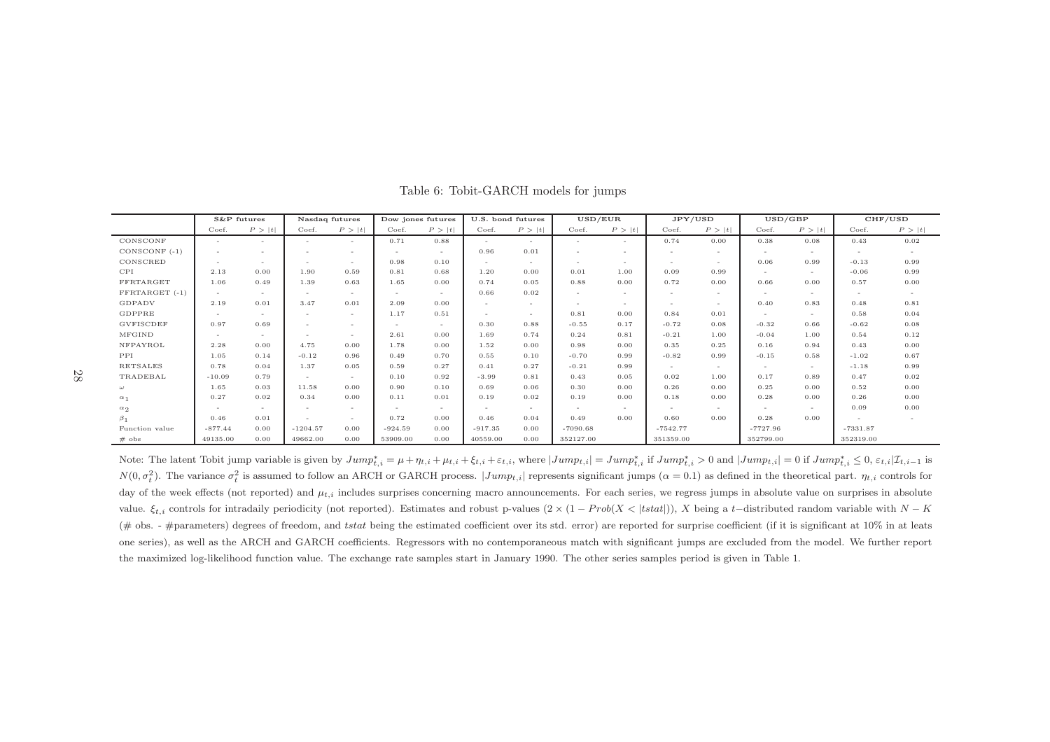|                  | S&P futures |        | Nasdaq futures |        | Dow jones futures |            | U.S. bond futures |        | USD/EUR    |            | JPY/USD                  |        | USD/GBP    |                          | CHF/USD                  |        |
|------------------|-------------|--------|----------------|--------|-------------------|------------|-------------------|--------|------------|------------|--------------------------|--------|------------|--------------------------|--------------------------|--------|
|                  | Coef.       | P >  t | Coef.          | P >  t | Coef.             | P >  t     | Coef.             | P >  t | Coef.      | P >  t     | Coef.                    | P >  t | Coef.      | P >  t                   | Coef.                    | P >  t |
| CONSCONF         |             | $\sim$ |                | $\sim$ | 0.71              | 0.88       | $\sim$            | $\sim$ | $\sim$     | $\sim$     | 0.74                     | 0.00   | 0.38       | 0.08                     | 0.43                     | 0.02   |
| CONSCONF (-1)    | $\sim$      |        |                | ۰.     | $\sim$            | $\sim$     | 0.96              | 0.01   | $\sim$     | $\sim$     | $\overline{\phantom{a}}$ | $\sim$ | $\sim$     | $\sim$                   | $\sim$                   | $\sim$ |
| CONSCRED         | $\sim$      | $\sim$ |                | $\sim$ | 0.98              | 0.10       | $\sim$            | $\sim$ | $\sim$     | $\sim$     | $\sim$                   | $\sim$ | 0.06       | 0.99                     | $-0.13$                  | 0.99   |
| <b>CPI</b>       | 2.13        | 0.00   | 1.90           | 0.59   | 0.81              | 0.68       | 1.20              | 0.00   | 0.01       | 1.00       | 0.09                     | 0.99   | $\sim$     | $\overline{\phantom{a}}$ | $-0.06$                  | 0.99   |
| FFRTARGET        | 1.06        | 0.49   | 1.39           | 0.63   | 1.65              | 0.00       | 0.74              | 0.05   | 0.88       | 0.00       | 0.72                     | 0.00   | 0.66       | 0.00                     | 0.57                     | 0.00   |
| FFRTARGET (-1)   | $\sim$      | $\sim$ | $\sim$         | $\sim$ | $\sim$            | $\sim$     | 0.66              | 0.02   | $\sim$     | $\sim$     | $\sim$                   | $\sim$ | $\sim$     | $\sim$                   | $\overline{\phantom{a}}$ | $\sim$ |
| GDPADV           | 2.19        | 0.01   | 3.47           | 0.01   | 2.09              | 0.00       | $\sim$            | $\sim$ | $\sim$     | <b>COL</b> | $\overline{\phantom{a}}$ |        | 0.40       | 0.83                     | 0.48                     | 0.81   |
| <b>GDPPRE</b>    | <b>COL</b>  | $\sim$ | <b>COL</b>     | $\sim$ | 1.17              | 0.51       | <b>COL</b>        | $\sim$ | 0.81       | 0.00       | 0.84                     | 0.01   | $\sim$     | $\sim$                   | 0.58                     | 0.04   |
| <b>GVFISCDEF</b> | 0.97        | 0.69   |                | $\sim$ | $\sim$            | $\sim$     | 0.30              | 0.88   | $-0.55$    | 0.17       | $-0.72$                  | 0.08   | $-0.32$    | 0.66                     | $-0.62$                  | 0.08   |
| MFGIND           | $\sim$      | $\sim$ |                | $\sim$ | 2.61              | 0.00       | 1.69              | 0.74   | 0.24       | 0.81       | $-0.21$                  | 1.00   | $-0.04$    | 1.00                     | 0.54                     | 0.12   |
| NFPAYROL         | 2.28        | 0.00   | 4.75           | 0.00   | 1.78              | 0.00       | 1.52              | 0.00   | 0.98       | 0.00       | 0.35                     | 0.25   | 0.16       | 0.94                     | 0.43                     | 0.00   |
| PPI              | 1.05        | 0.14   | $-0.12$        | 0.96   | 0.49              | 0.70       | 0.55              | 0.10   | $-0.70$    | 0.99       | $-0.82$                  | 0.99   | $-0.15$    | 0.58                     | $-1.02$                  | 0.67   |
| <b>RETSALES</b>  | 0.78        | 0.04   | 1.37           | 0.05   | 0.59              | 0.27       | 0.41              | 0.27   | $-0.21$    | 0.99       | . .                      | $\sim$ | $\sim$     | $\overline{\phantom{a}}$ | $-1.18$                  | 0.99   |
| TRADEBAL         | $-10.09$    | 0.79   | $\sim$         | $\sim$ | 0.10              | 0.92       | $-3.99$           | 0.81   | 0.43       | 0.05       | 0.02                     | 1.00   | 0.17       | 0.89                     | 0.47                     | 0.02   |
| $\omega$         | 1.65        | 0.03   | 11.58          | 0.00   | 0.90              | 0.10       | 0.69              | 0.06   | 0.30       | 0.00       | 0.26                     | 0.00   | 0.25       | 0.00                     | 0.52                     | 0.00   |
| $\alpha$ 1       | 0.27        | 0.02   | 0.34           | 0.00   | 0.11              | 0.01       | 0.19              | 0.02   | 0.19       | 0.00       | 0.18                     | 0.00   | 0.28       | 0.00                     | 0.26                     | 0.00   |
| ${}^{\alpha}2$   | $\sim$      | $\sim$ | <b>COL</b>     | $\sim$ | $\sim$            | <b>COL</b> | <b>COL</b>        | $\sim$ | $\sim$     | $\sim$     | $\sim$                   | $\sim$ | $\sim$     | $\sim$                   | 0.09                     | 0.00   |
| $\beta_1$        | 0.46        | 0.01   |                | $\sim$ | 0.72              | 0.00       | 0.46              | 0.04   | 0.49       | 0.00       | 0.60                     | 0.00   | 0.28       | 0.00                     | $\sim$                   | $\sim$ |
| Function value   | $-877.44$   | 0.00   | $-1204.57$     | 0.00   | $-924.59$         | 0.00       | $-917.35$         | 0.00   | $-7090.68$ |            | $-7542.77$               |        | $-7727.96$ |                          | $-7331.87$               |        |
| $#$ obs          | 49135.00    | 0.00   | 49662.00       | 0.00   | 53909.00          | 0.00       | 40559.00          | 0.00   | 352127.00  |            | 351359.00                |        | 352799.00  |                          | 352319.00                |        |

Table 6: Tobit-GARCH models for jumps

Note: The latent Tobit jump variable is given by  $Jump_{t,i}^* = \mu + \eta_{t,i} + \mu_{t,i} + \xi_{t,i} + \varepsilon_{t,i}$ , where  $|Jump_{t,i}| = Jump_{t,i}^*$  if  $Jump_{t,i}^* > 0$  and  $|Jump_{t,i}| = 0$  if  $Jump_{t,i}^* \leq 0$ ,  $\varepsilon_{t,i} | \mathcal{I}_{t,i-1}$  is  $N(0, \sigma_t^2)$ . The variance  $\sigma_t^2$  is assumed to follow an ARCH or GARCH process.  $|Jump_{t,i}|$  represents significant jumps ( $\alpha = 0.1$ ) as defined in the theoretical part.  $\eta_{t,i}$  controls for day of the week effects (not reported) and  $\mu_{t,i}$  includes surprises concerning macro announcements. For each series, we regress jumps in absolute value on surprises in absolute value.  $\xi_{t,i}$  controls for intradaily periodicity (not reported). Estimates and robust p-values  $(2 \times (1 - Prob(X < |tstat|)), X$  being a t-distributed random variable with  $N - K$ (# obs. - #parameters) degrees of freedom, and tstat being the estimated coefficient over its std. error) are reported for surprise coefficient (if it is significant at  $10\%$  in at leats one series), as well as the ARCH and GARCH coefficients. Regressors with no contemporaneous match with significant jumps are excluded from the model. We further reportthe maximized log-likelihood function value. The exchange rate samples start in January 1990. The other series samples period is <sup>g</sup>iven in Table 1.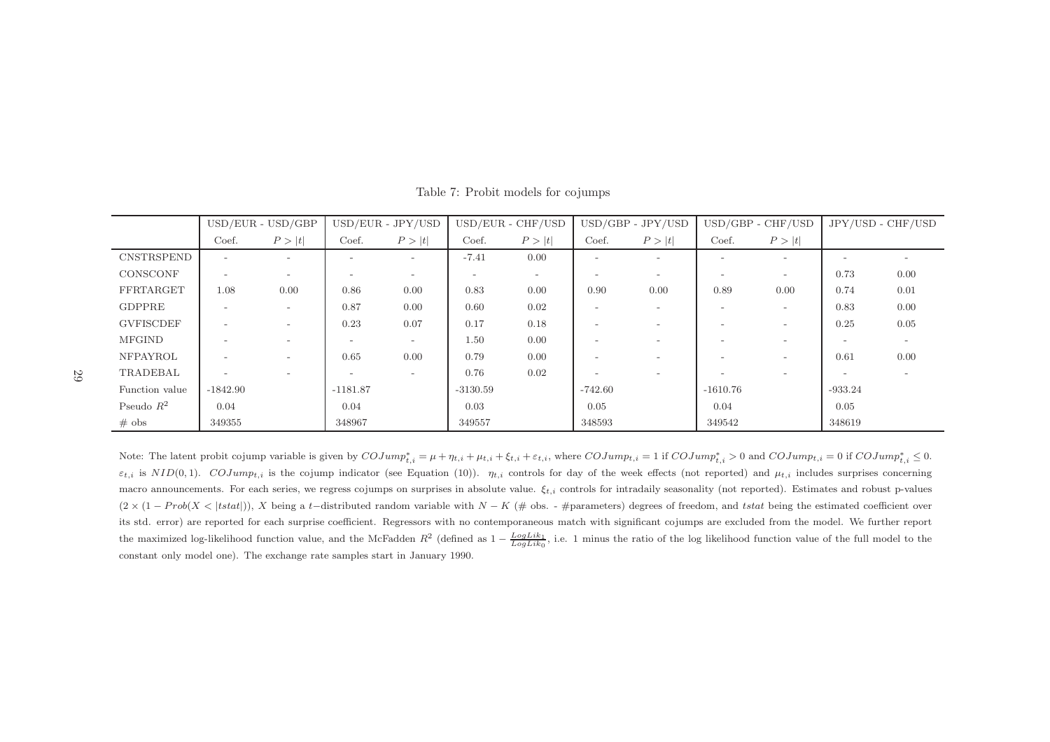|                  | $USD/EUR - USD/GBP$      |                          |                          | USD/EUR - JPY/USD        |                          | USD/EUR - CHF/USD        |                          | USD/GBP - JPY/USD        |                          | USD/GBP - CHF/USD        |                          | JPY/USD - CHF/USD |
|------------------|--------------------------|--------------------------|--------------------------|--------------------------|--------------------------|--------------------------|--------------------------|--------------------------|--------------------------|--------------------------|--------------------------|-------------------|
|                  | Coef.                    | P> t                     | Coef.                    | P> t                     | Coef.                    | P> t                     | Coef.                    | P> t                     | Coef.                    | P> t                     |                          |                   |
| CNSTRSPEND       | $\overline{\phantom{0}}$ |                          | $\overline{\phantom{0}}$ | $\overline{\phantom{a}}$ | $-7.41$                  | 0.00                     |                          | $\overline{\phantom{0}}$ |                          | $\overline{\phantom{a}}$ |                          |                   |
| CONSCONF         | $\overline{\phantom{a}}$ |                          |                          | $\overline{\phantom{a}}$ | $\overline{\phantom{a}}$ | $\overline{\phantom{a}}$ |                          | $\overline{\phantom{0}}$ |                          | $\overline{\phantom{a}}$ | 0.73                     | 0.00              |
| FFRTARGET        | 1.08                     | 0.00                     | 0.86                     | 0.00                     | 0.83                     | 0.00                     | 0.90                     | 0.00                     | 0.89                     | 0.00                     | 0.74                     | 0.01              |
| <b>GDPPRE</b>    | $\overline{\phantom{0}}$ | $-$                      | 0.87                     | 0.00                     | 0.60                     | 0.02                     | $\overline{\phantom{0}}$ | $\overline{\phantom{a}}$ | $\overline{\phantom{a}}$ | $\overline{\phantom{a}}$ | 0.83                     | 0.00              |
| <b>GVFISCDEF</b> |                          |                          | 0.23                     | 0.07                     | 0.17                     | 0.18                     |                          | $\overline{\phantom{0}}$ |                          | $\overline{\phantom{a}}$ | 0.25                     | 0.05              |
| <b>MFGIND</b>    |                          |                          |                          | $\overline{\phantom{a}}$ | 1.50                     | 0.00                     |                          |                          |                          | $\overline{\phantom{a}}$ |                          |                   |
| NFPAYROL         | $\overline{\phantom{0}}$ | $\overline{\phantom{0}}$ | 0.65                     | 0.00                     | 0.79                     | 0.00                     | $\overline{\phantom{a}}$ | $\overline{\phantom{0}}$ |                          | $\overline{\phantom{a}}$ | 0.61                     | 0.00              |
| TRADEBAL         | $\overline{\phantom{a}}$ |                          | $\overline{\phantom{0}}$ | $\overline{\phantom{0}}$ | 0.76                     | 0.02                     | $\overline{\phantom{a}}$ | $\overline{\phantom{0}}$ |                          | $\overline{\phantom{a}}$ | $\overline{\phantom{a}}$ |                   |
| Function value   | $-1842.90$               |                          | $-1181.87$               |                          | $-3130.59$               |                          | $-742.60$                |                          | $-1610.76$               |                          | $-933.24$                |                   |
| Pseudo $R^2$     | 0.04                     |                          | 0.04                     |                          | 0.03                     |                          | 0.05                     |                          | 0.04                     |                          | 0.05                     |                   |
| $#$ obs          | 349355                   |                          | 348967                   |                          | 349557                   |                          | 348593                   |                          | 349542                   |                          | 348619                   |                   |

Table 7: Probit models for cojumps

Note: The latent probit cojump variable is given by  $COJump^*_{t,i} = \mu + \eta_{t,i} + \mu_{t,i} + \xi_{t,i} + \varepsilon_{t,i}$ , where  $COJump_{t,i} = 1$  if  $COJump^*_{t,i} > 0$  and  $COJump_{t,i} = 0$  if  $COJump^*_{t,i} \leq 0$ .  $\varepsilon_{t,i}$  is  $NID(0,1)$ .  $COJump_{t,i}$  is the cojump indicator (see Equation (10)).  $\eta_{t,i}$  controls for day of the week effects (not reported) and  $\mu_{t,i}$  includes surprises concerning macro announcements. For each series, we regress cojumps on surprises in absolute value.  $\xi_{t,i}$  controls for intradaily seasonality (not reported). Estimates and robust p-values  $(2 \times (1 - Prob(X < |tstat|)), X$  being a t-distributed random variable with  $N - K$  (# obs. - #parameters) degrees of freedom, and tstat being the estimated coefficient over its std. error) are reported for each surprise coefficient. Regressors with no contemporaneous match with significant cojumps are excluded from the model. We further reportthe maximized log-likelihood function value, and the McFadden  $R^2$  (defined as  $1 - \frac{LogLik_1}{LogLik_0}$ , i.e. 1 minus the ratio of the log likelihood function value of the full model to the constant only model one). The exchange rate samples start in January 1990.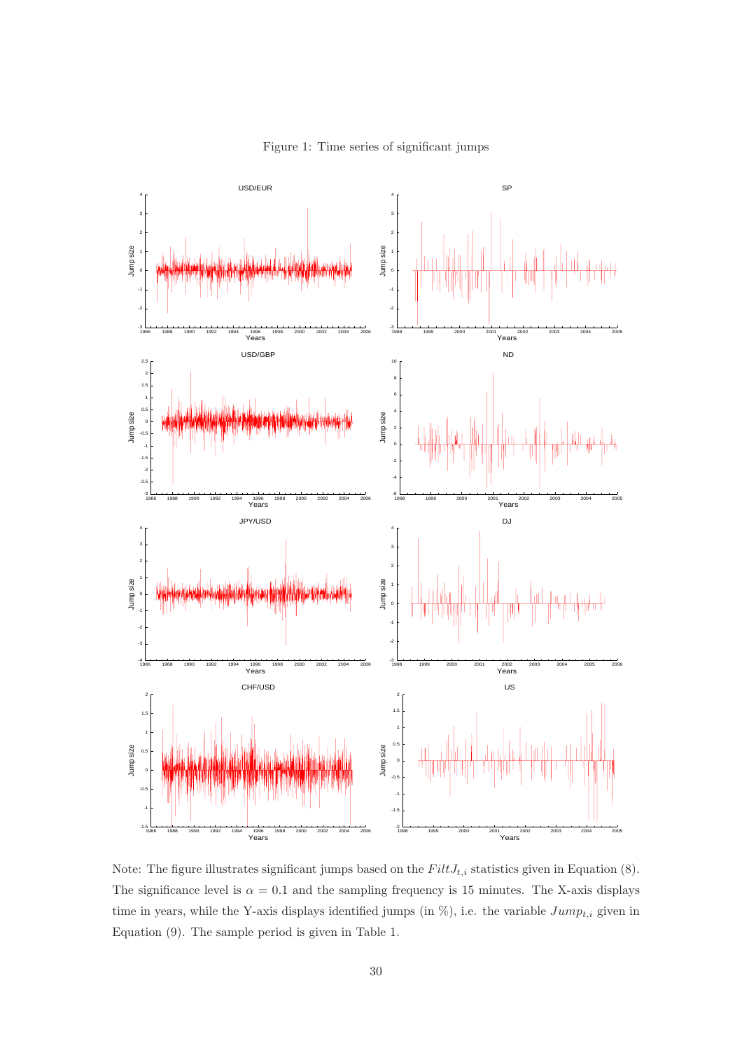

Figure 1: Time series of significant jumps

Note: The figure illustrates significant jumps based on the  $FiltJ_{t,i}$  statistics given in Equation (8). The significance level is  $\alpha = 0.1$  and the sampling frequency is 15 minutes. The X-axis displays time in years, while the Y-axis displays identified jumps (in  $\%$ ), i.e. the variable  $Jump_{t,i}$  given in Equation (9). The sample period is given in Table 1.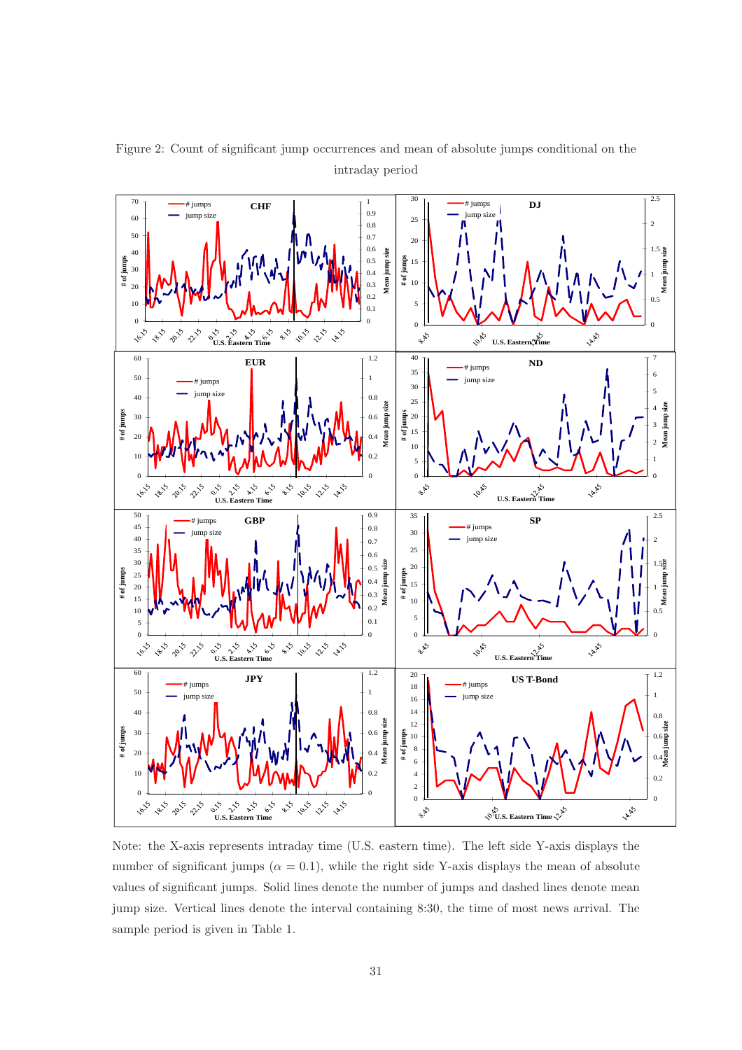

Figure 2: Count of significant jump occurrences and mean of absolute jumps conditional on the intraday period

Note: the X-axis represents intraday time (U.S. eastern time). The left side Y-axis displays the number of significant jumps ( $\alpha = 0.1$ ), while the right side Y-axis displays the mean of absolute values of significant jumps. Solid lines denote the number of jumps and dashed lines denote mean jump size. Vertical lines denote the interval containing 8:30, the time of most news arrival. The sample period is given in Table 1.